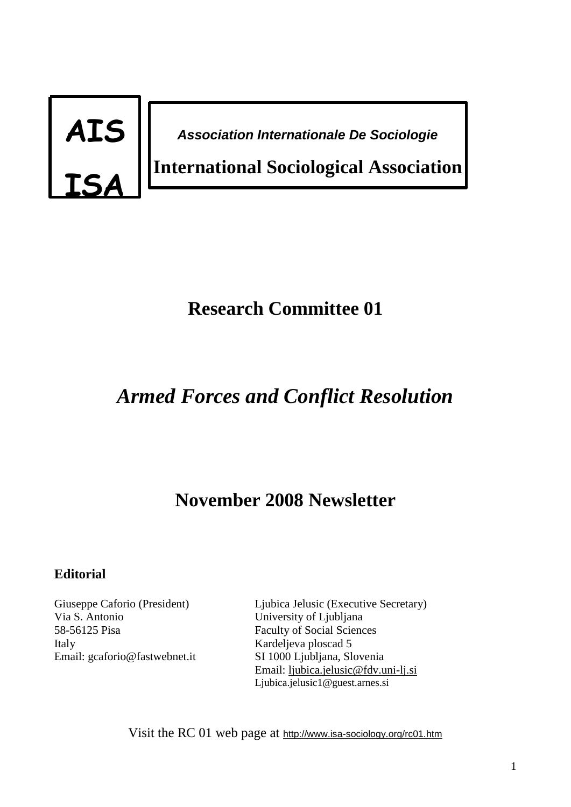

*Association Internationale De Sociologie*

**International Sociological Association**

## **Research Committee 01**

## *Armed Forces and Conflict Resolution*

## **November 2008 Newsletter**

## **Editorial**

Giuseppe Caforio (President) Via S. Antonio 58-56125 Pisa Italy Email: gcaforio@fastwebnet.it Ljubica Jelusic (Executive Secretary) University of Ljubljana Faculty of Social Sciences Kardeljeva ploscad 5 SI 1000 Ljubljana, Slovenia Email: [ljubica.jelusic@fdv.uni-lj.si](mailto:ljubica.jelusic@fdv.uni-lj.si) Ljubica.jelusic1@guest.arnes.si

Visit the RC 01 web page at <http://www.isa-sociology.org/rc01.htm>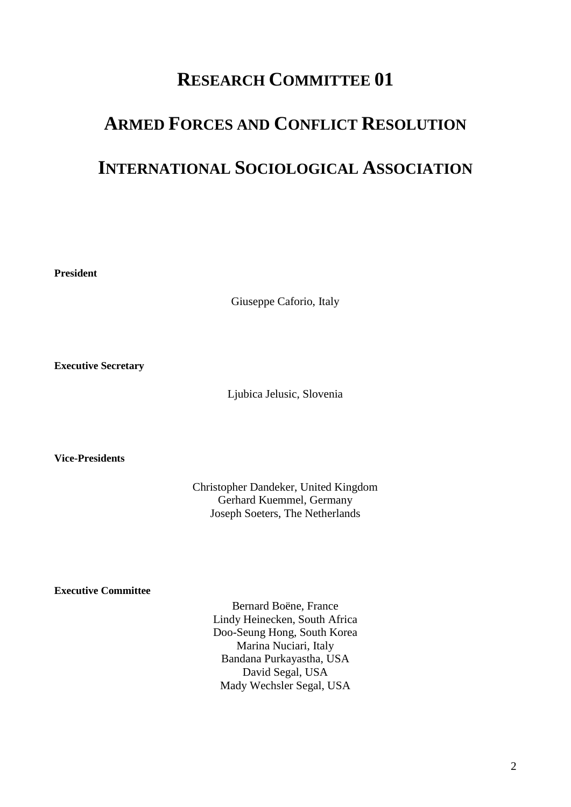## **RESEARCH COMMITTEE 01**

# **ARMED FORCES AND CONFLICT RESOLUTION INTERNATIONAL SOCIOLOGICAL ASSOCIATION**

**President**

Giuseppe Caforio, Italy

**Executive Secretary**

Ljubica Jelusic, Slovenia

**Vice-Presidents**

Christopher Dandeker, United Kingdom Gerhard Kuemmel, Germany Joseph Soeters, The Netherlands

**Executive Committee**

Bernard Boëne, France Lindy Heinecken, South Africa Doo-Seung Hong, South Korea Marina Nuciari, Italy Bandana Purkayastha, USA David Segal, USA Mady Wechsler Segal, USA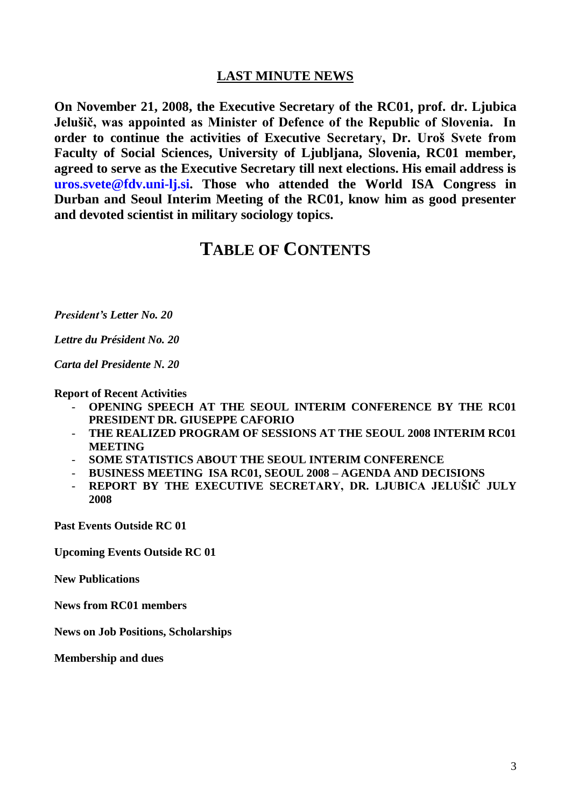## **LAST MINUTE NEWS**

**On November 21, 2008, the Executive Secretary of the RC01, prof. dr. Ljubica Jelušič, was appointed as Minister of Defence of the Republic of Slovenia. In order to continue the activities of Executive Secretary, Dr. Uroš Svete from Faculty of Social Sciences, University of Ljubljana, Slovenia, RC01 member, agreed to serve as the Executive Secretary till next elections. His email address is [uros.svete@fdv.uni-lj.si.](mailto:uros.svete@fdv.uni-lj.si) Those who attended the World ISA Congress in Durban and Seoul Interim Meeting of the RC01, know him as good presenter and devoted scientist in military sociology topics.** 

## **TABLE OF CONTENTS**

*President's Letter No. 20*

*Lettre du Président No. 20*

*Carta del Presidente N. 20*

#### **Report of Recent Activities**

- **OPENING SPEECH AT THE SEOUL INTERIM CONFERENCE BY THE RC01 PRESIDENT DR. GIUSEPPE CAFORIO**
- **THE REALIZED PROGRAM OF SESSIONS AT THE SEOUL 2008 INTERIM RC01 MEETING**
- **SOME STATISTICS ABOUT THE SEOUL INTERIM CONFERENCE**
- **BUSINESS MEETING ISA RC01, SEOUL 2008 – AGENDA AND DECISIONS**
- **REPORT BY THE EXECUTIVE SECRETARY, DR. LJUBICA JELUŠIČ JULY 2008**

**Past Events Outside RC 01**

**Upcoming Events Outside RC 01**

**New Publications**

**News from RC01 members**

**News on Job Positions, Scholarships**

**Membership and dues**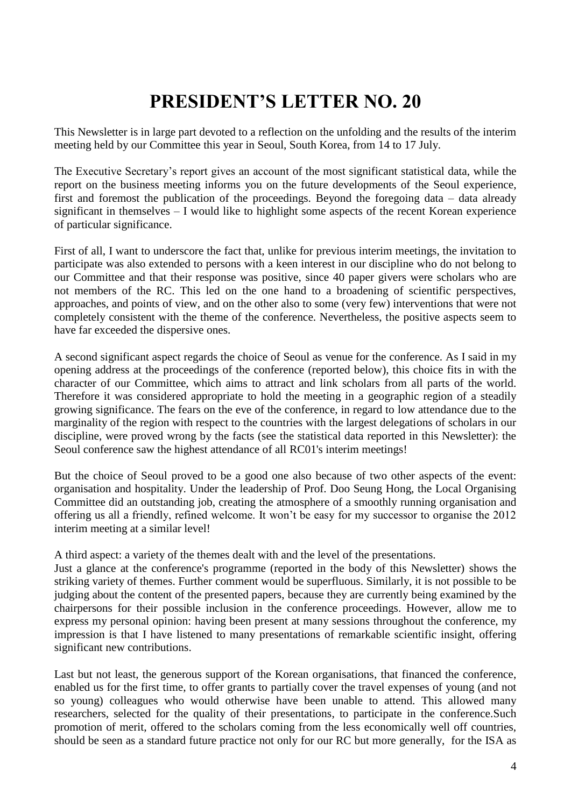## **PRESIDENT'S LETTER NO. 20**

This Newsletter is in large part devoted to a reflection on the unfolding and the results of the interim meeting held by our Committee this year in Seoul, South Korea, from 14 to 17 July.

The Executive Secretary's report gives an account of the most significant statistical data, while the report on the business meeting informs you on the future developments of the Seoul experience, first and foremost the publication of the proceedings. Beyond the foregoing data – data already significant in themselves – I would like to highlight some aspects of the recent Korean experience of particular significance.

First of all, I want to underscore the fact that, unlike for previous interim meetings, the invitation to participate was also extended to persons with a keen interest in our discipline who do not belong to our Committee and that their response was positive, since 40 paper givers were scholars who are not members of the RC. This led on the one hand to a broadening of scientific perspectives, approaches, and points of view, and on the other also to some (very few) interventions that were not completely consistent with the theme of the conference. Nevertheless, the positive aspects seem to have far exceeded the dispersive ones.

A second significant aspect regards the choice of Seoul as venue for the conference. As I said in my opening address at the proceedings of the conference (reported below), this choice fits in with the character of our Committee, which aims to attract and link scholars from all parts of the world. Therefore it was considered appropriate to hold the meeting in a geographic region of a steadily growing significance. The fears on the eve of the conference, in regard to low attendance due to the marginality of the region with respect to the countries with the largest delegations of scholars in our discipline, were proved wrong by the facts (see the statistical data reported in this Newsletter): the Seoul conference saw the highest attendance of all RC01's interim meetings!

But the choice of Seoul proved to be a good one also because of two other aspects of the event: organisation and hospitality. Under the leadership of Prof. Doo Seung Hong, the Local Organising Committee did an outstanding job, creating the atmosphere of a smoothly running organisation and offering us all a friendly, refined welcome. It won't be easy for my successor to organise the 2012 interim meeting at a similar level!

A third aspect: a variety of the themes dealt with and the level of the presentations.

Just a glance at the conference's programme (reported in the body of this Newsletter) shows the striking variety of themes. Further comment would be superfluous. Similarly, it is not possible to be judging about the content of the presented papers, because they are currently being examined by the chairpersons for their possible inclusion in the conference proceedings. However, allow me to express my personal opinion: having been present at many sessions throughout the conference, my impression is that I have listened to many presentations of remarkable scientific insight, offering significant new contributions.

Last but not least, the generous support of the Korean organisations, that financed the conference, enabled us for the first time, to offer grants to partially cover the travel expenses of young (and not so young) colleagues who would otherwise have been unable to attend. This allowed many researchers, selected for the quality of their presentations, to participate in the conference.Such promotion of merit, offered to the scholars coming from the less economically well off countries, should be seen as a standard future practice not only for our RC but more generally, for the ISA as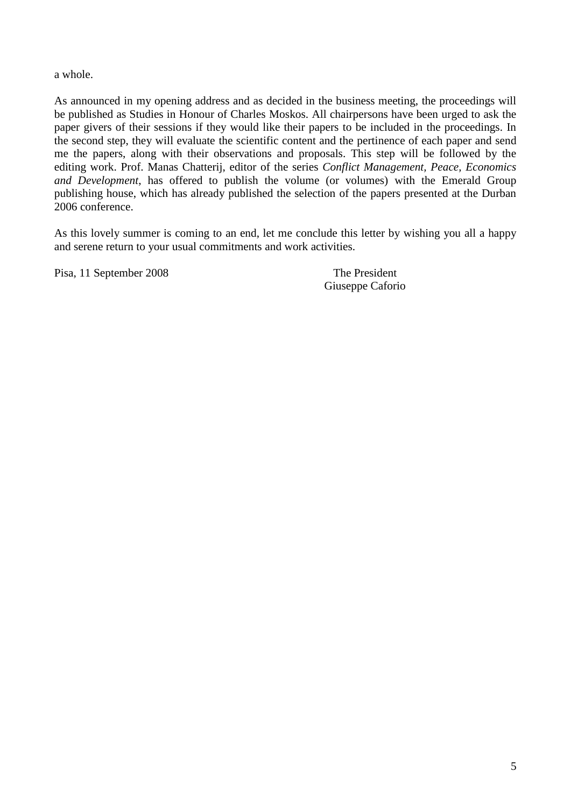a whole.

As announced in my opening address and as decided in the business meeting, the proceedings will be published as Studies in Honour of Charles Moskos. All chairpersons have been urged to ask the paper givers of their sessions if they would like their papers to be included in the proceedings. In the second step, they will evaluate the scientific content and the pertinence of each paper and send me the papers, along with their observations and proposals. This step will be followed by the editing work. Prof. Manas Chatterij, editor of the series *Conflict Management, Peace, Economics and Development*, has offered to publish the volume (or volumes) with the Emerald Group publishing house, which has already published the selection of the papers presented at the Durban 2006 conference.

As this lovely summer is coming to an end, let me conclude this letter by wishing you all a happy and serene return to your usual commitments and work activities.

Pisa, 11 September 2008 The President

Giuseppe Caforio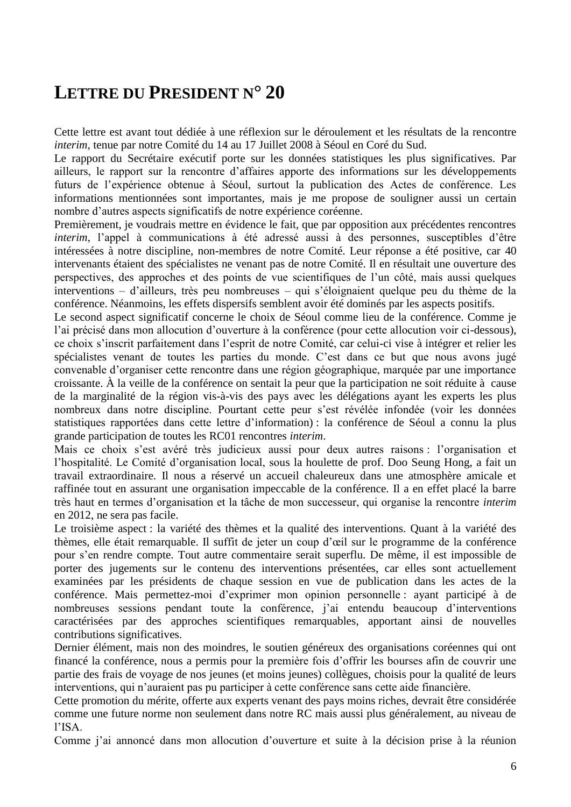## **LETTRE DU PRESIDENT N° 20**

Cette lettre est avant tout dédiée à une réflexion sur le déroulement et les résultats de la rencontre *interim,* tenue par notre Comité du 14 au 17 Juillet 2008 à Séoul en Coré du Sud.

Le rapport du Secrétaire exécutif porte sur les données statistiques les plus significatives. Par ailleurs, le rapport sur la rencontre d'affaires apporte des informations sur les développements futurs de l'expérience obtenue à Séoul, surtout la publication des Actes de conférence. Les informations mentionnées sont importantes, mais je me propose de souligner aussi un certain nombre d'autres aspects significatifs de notre expérience coréenne.

Premièrement, je voudrais mettre en évidence le fait, que par opposition aux précédentes rencontres *interim*, l'appel à communications à été adressé aussi à des personnes, susceptibles d'être intéressées à notre discipline, non-membres de notre Comité. Leur réponse a été positive, car 40 intervenants étaient des spécialistes ne venant pas de notre Comité. Il en résultait une ouverture des perspectives, des approches et des points de vue scientifiques de l'un côté, mais aussi quelques interventions – d'ailleurs, très peu nombreuses – qui s'éloignaient quelque peu du thème de la conférence. Néanmoins, les effets dispersifs semblent avoir été dominés par les aspects positifs.

Le second aspect significatif concerne le choix de Séoul comme lieu de la conférence. Comme je l'ai précisé dans mon allocution d'ouverture à la conférence (pour cette allocution voir ci-dessous), ce choix s'inscrit parfaitement dans l'esprit de notre Comité, car celui-ci vise à intégrer et relier les spécialistes venant de toutes les parties du monde. C'est dans ce but que nous avons jugé convenable d'organiser cette rencontre dans une région géographique, marquée par une importance croissante. À la veille de la conférence on sentait la peur que la participation ne soit réduite à cause de la marginalité de la région vis-à-vis des pays avec les délégations ayant les experts les plus nombreux dans notre discipline. Pourtant cette peur s'est révélée infondée (voir les données statistiques rapportées dans cette lettre d'information) : la conférence de Séoul a connu la plus grande participation de toutes les RC01 rencontres *interim*.

Mais ce choix s'est avéré très judicieux aussi pour deux autres raisons : l'organisation et l'hospitalité. Le Comité d'organisation local, sous la houlette de prof. Doo Seung Hong, a fait un travail extraordinaire. Il nous a réservé un accueil chaleureux dans une atmosphère amicale et raffinée tout en assurant une organisation impeccable de la conférence. Il a en effet placé la barre très haut en termes d'organisation et la tâche de mon successeur, qui organise la rencontre *interim* en 2012, ne sera pas facile.

Le troisième aspect : la variété des thèmes et la qualité des interventions. Quant à la variété des thèmes, elle était remarquable. Il suffit de jeter un coup d'œil sur le programme de la conférence pour s'en rendre compte. Tout autre commentaire serait superflu. De même, il est impossible de porter des jugements sur le contenu des interventions présentées, car elles sont actuellement examinées par les présidents de chaque session en vue de publication dans les actes de la conférence. Mais permettez-moi d'exprimer mon opinion personnelle : ayant participé à de nombreuses sessions pendant toute la conférence, j'ai entendu beaucoup d'interventions caractérisées par des approches scientifiques remarquables, apportant ainsi de nouvelles contributions significatives.

Dernier élément, mais non des moindres, le soutien généreux des organisations coréennes qui ont financé la conférence, nous a permis pour la première fois d'offrir les bourses afin de couvrir une partie des frais de voyage de nos jeunes (et moins jeunes) collègues, choisis pour la qualité de leurs interventions, qui n'auraient pas pu participer à cette conférence sans cette aide financière.

Cette promotion du mérite, offerte aux experts venant des pays moins riches, devrait être considérée comme une future norme non seulement dans notre RC mais aussi plus généralement, au niveau de l'ISA.

Comme j'ai annoncé dans mon allocution d'ouverture et suite à la décision prise à la réunion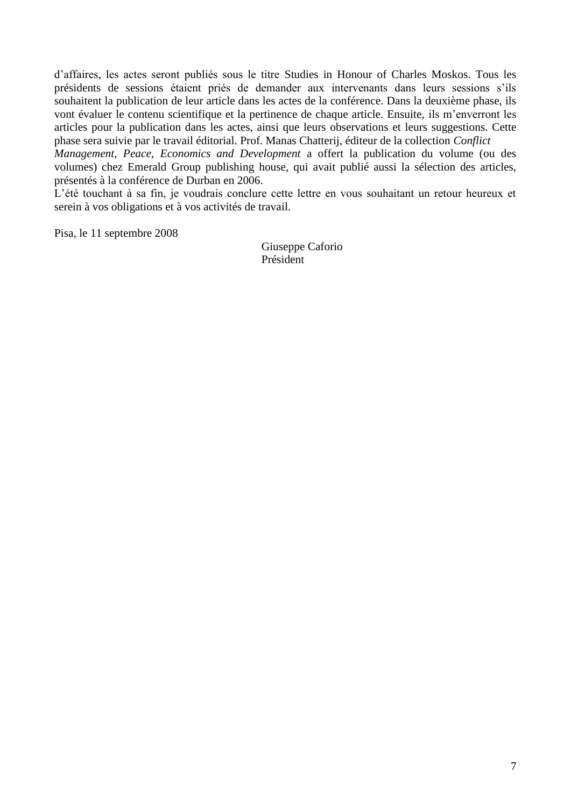d'affaires, les actes seront publiés sous le titre Studies in Honour of Charles Moskos. Tous les présidents de sessions étaient priés de demander aux intervenants dans leurs sessions s'ils souhaitent la publication de leur article dans les actes de la conférence. Dans la deuxième phase, ils vont évaluer le contenu scientifique et la pertinence de chaque article. Ensuite, ils m'enverront les articles pour la publication dans les actes, ainsi que leurs observations et leurs suggestions. Cette phase sera suivie par le travail éditorial. Prof. Manas Chatterij, éditeur de la collection *Conflict* 

*Management, Peace, Economics and Development* a offert la publication du volume (ou des volumes) chez Emerald Group publishing house, qui avait publié aussi la sélection des articles, présentés à la conférence de Durban en 2006.

L'été touchant à sa fin, je voudrais conclure cette lettre en vous souhaitant un retour heureux et serein à vos obligations et à vos activités de travail.

Pisa, le 11 septembre 2008

Giuseppe Caforio Président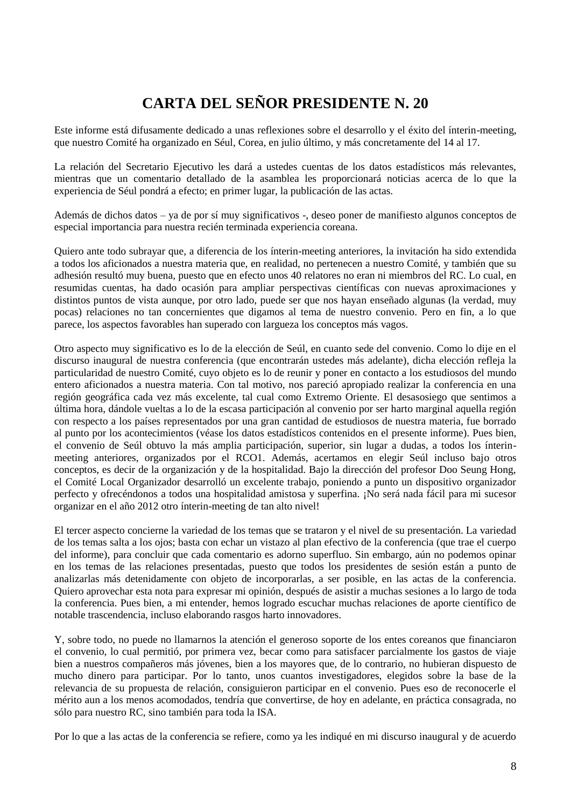## **CARTA DEL SEÑOR PRESIDENTE N. 20**

Este informe está difusamente dedicado a unas reflexiones sobre el desarrollo y el éxito del ínterin-meeting, que nuestro Comité ha organizado en Séul, Corea, en julio último, y más concretamente del 14 al 17.

La relación del Secretario Ejecutivo les dará a ustedes cuentas de los datos estadísticos más relevantes, mientras que un comentario detallado de la asamblea les proporcionará noticias acerca de lo que la experiencia de Séul pondrá a efecto; en primer lugar, la publicación de las actas.

Además de dichos datos – ya de por sí muy significativos -, deseo poner de manifiesto algunos conceptos de especial importancia para nuestra recién terminada experiencia coreana.

Quiero ante todo subrayar que, a diferencia de los ínterin-meeting anteriores, la invitación ha sido extendida a todos los aficionados a nuestra materia que, en realidad, no pertenecen a nuestro Comité, y también que su adhesión resultó muy buena, puesto que en efecto unos 40 relatores no eran ni miembros del RC. Lo cual, en resumidas cuentas, ha dado ocasión para ampliar perspectivas científicas con nuevas aproximaciones y distintos puntos de vista aunque, por otro lado, puede ser que nos hayan enseñado algunas (la verdad, muy pocas) relaciones no tan concernientes que digamos al tema de nuestro convenio. Pero en fin, a lo que parece, los aspectos favorables han superado con largueza los conceptos más vagos.

Otro aspecto muy significativo es lo de la elección de Seúl, en cuanto sede del convenio. Como lo dije en el discurso inaugural de nuestra conferencia (que encontrarán ustedes más adelante), dicha elección refleja la particularidad de nuestro Comité, cuyo objeto es lo de reunir y poner en contacto a los estudiosos del mundo entero aficionados a nuestra materia. Con tal motivo, nos pareció apropiado realizar la conferencia en una región geográfica cada vez más excelente, tal cual como Extremo Oriente. El desasosiego que sentimos a última hora, dándole vueltas a lo de la escasa participación al convenio por ser harto marginal aquella región con respecto a los países representados por una gran cantidad de estudiosos de nuestra materia, fue borrado al punto por los acontecimientos (véase los datos estadísticos contenidos en el presente informe). Pues bien, el convenio de Seúl obtuvo la más amplia participación, superior, sin lugar a dudas, a todos los ínterinmeeting anteriores, organizados por el RCO1. Además, acertamos en elegir Seúl incluso bajo otros conceptos, es decir de la organización y de la hospitalidad. Bajo la dirección del profesor Doo Seung Hong, el Comité Local Organizador desarrolló un excelente trabajo, poniendo a punto un dispositivo organizador perfecto y ofrecéndonos a todos una hospitalidad amistosa y superfina. ¡No será nada fácil para mi sucesor organizar en el año 2012 otro ínterin-meeting de tan alto nivel!

El tercer aspecto concierne la variedad de los temas que se trataron y el nivel de su presentación. La variedad de los temas salta a los ojos; basta con echar un vistazo al plan efectivo de la conferencia (que trae el cuerpo del informe), para concluir que cada comentario es adorno superfluo. Sin embargo, aún no podemos opinar en los temas de las relaciones presentadas, puesto que todos los presidentes de sesión están a punto de analizarlas más detenidamente con objeto de incorporarlas, a ser posible, en las actas de la conferencia. Quiero aprovechar esta nota para expresar mi opinión, después de asistir a muchas sesiones a lo largo de toda la conferencia. Pues bien, a mi entender, hemos logrado escuchar muchas relaciones de aporte científico de notable trascendencia, incluso elaborando rasgos harto innovadores.

Y, sobre todo, no puede no llamarnos la atención el generoso soporte de los entes coreanos que financiaron el convenio, lo cual permitió, por primera vez, becar como para satisfacer parcialmente los gastos de viaje bien a nuestros compañeros más jóvenes, bien a los mayores que, de lo contrario, no hubieran dispuesto de mucho dinero para participar. Por lo tanto, unos cuantos investigadores, elegidos sobre la base de la relevancia de su propuesta de relación, consiguieron participar en el convenio. Pues eso de reconocerle el mérito aun a los menos acomodados, tendría que convertirse, de hoy en adelante, en práctica consagrada, no sólo para nuestro RC, sino también para toda la ISA.

Por lo que a las actas de la conferencia se refiere, como ya les indiqué en mi discurso inaugural y de acuerdo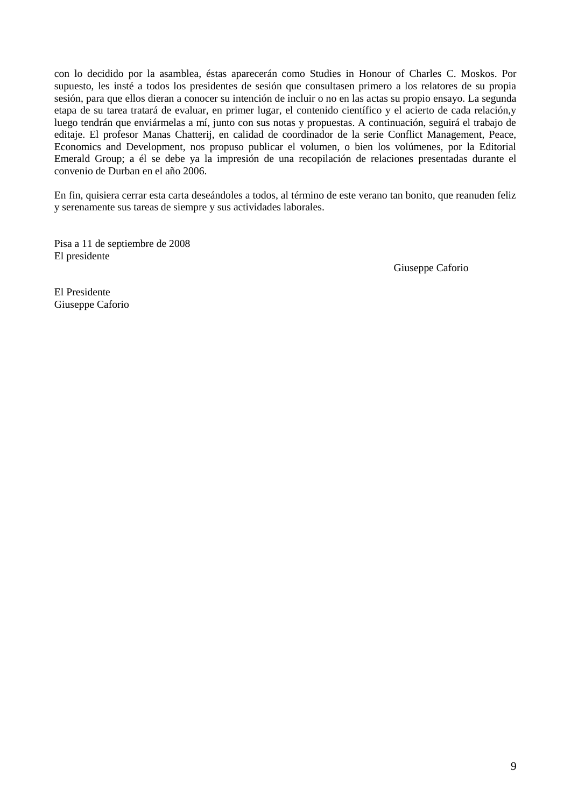con lo decidido por la asamblea, éstas aparecerán como Studies in Honour of Charles C. Moskos. Por supuesto, les insté a todos los presidentes de sesión que consultasen primero a los relatores de su propia sesión, para que ellos dieran a conocer su intención de incluir o no en las actas su propio ensayo. La segunda etapa de su tarea tratará de evaluar, en primer lugar, el contenido científico y el acierto de cada relación,y luego tendrán que enviármelas a mí, junto con sus notas y propuestas. A continuación, seguirá el trabajo de editaje. El profesor Manas Chatterij, en calidad de coordinador de la serie Conflict Management, Peace, Economics and Development, nos propuso publicar el volumen, o bien los volúmenes, por la Editorial Emerald Group; a él se debe ya la impresión de una recopilación de relaciones presentadas durante el convenio de Durban en el año 2006.

En fin, quisiera cerrar esta carta deseándoles a todos, al término de este verano tan bonito, que reanuden feliz y serenamente sus tareas de siempre y sus actividades laborales.

Pisa a 11 de septiembre de 2008 El presidente

Giuseppe Caforio

El Presidente Giuseppe Caforio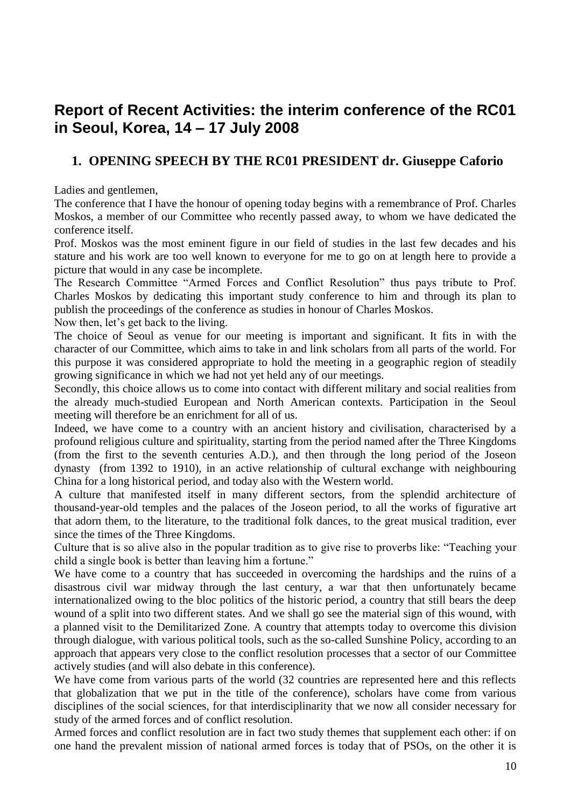## **Report of Recent Activities: the interim conference of the RC01 in Seoul, Korea, 14 – 17 July 2008**

## **1. OPENING SPEECH BY THE RC01 PRESIDENT dr. Giuseppe Caforio**

Ladies and gentlemen,

The conference that I have the honour of opening today begins with a remembrance of Prof. Charles Moskos, a member of our Committee who recently passed away, to whom we have dedicated the conference itself.

Prof. Moskos was the most eminent figure in our field of studies in the last few decades and his stature and his work are too well known to everyone for me to go on at length here to provide a picture that would in any case be incomplete.

The Research Committee "Armed Forces and Conflict Resolution" thus pays tribute to Prof. Charles Moskos by dedicating this important study conference to him and through its plan to publish the proceedings of the conference as studies in honour of Charles Moskos.

Now then, let's get back to the living.

The choice of Seoul as venue for our meeting is important and significant. It fits in with the character of our Committee, which aims to take in and link scholars from all parts of the world. For this purpose it was considered appropriate to hold the meeting in a geographic region of steadily growing significance in which we had not yet held any of our meetings.

Secondly, this choice allows us to come into contact with different military and social realities from the already much-studied European and North American contexts. Participation in the Seoul meeting will therefore be an enrichment for all of us.

Indeed, we have come to a country with an ancient history and civilisation, characterised by a profound religious culture and spirituality, starting from the period named after the Three Kingdoms (from the first to the seventh centuries A.D.), and then through the long period of the Joseon dynasty (from 1392 to 1910), in an active relationship of cultural exchange with neighbouring China for a long historical period, and today also with the Western world.

A culture that manifested itself in many different sectors, from the splendid architecture of thousand-year-old temples and the palaces of the Joseon period, to all the works of figurative art that adorn them, to the literature, to the traditional folk dances, to the great musical tradition, ever since the times of the Three Kingdoms.

Culture that is so alive also in the popular tradition as to give rise to proverbs like: "Teaching your child a single book is better than leaving him a fortune."

We have come to a country that has succeeded in overcoming the hardships and the ruins of a disastrous civil war midway through the last century, a war that then unfortunately became internationalized owing to the bloc politics of the historic period, a country that still bears the deep wound of a split into two different states. And we shall go see the material sign of this wound, with a planned visit to the Demilitarized Zone. A country that attempts today to overcome this division through dialogue, with various political tools, such as the so-called Sunshine Policy, according to an approach that appears very close to the conflict resolution processes that a sector of our Committee actively studies (and will also debate in this conference).

We have come from various parts of the world (32 countries are represented here and this reflects that globalization that we put in the title of the conference), scholars have come from various disciplines of the social sciences, for that interdisciplinarity that we now all consider necessary for study of the armed forces and of conflict resolution.

Armed forces and conflict resolution are in fact two study themes that supplement each other: if on one hand the prevalent mission of national armed forces is today that of PSOs, on the other it is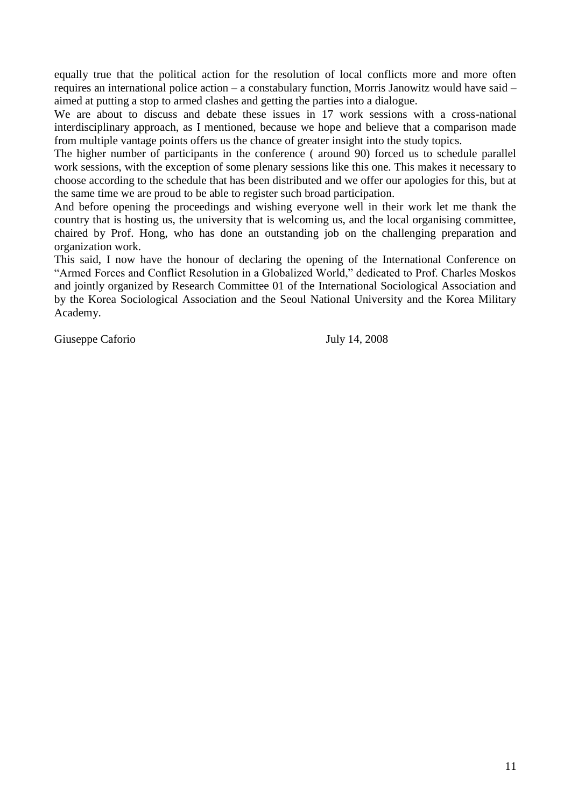equally true that the political action for the resolution of local conflicts more and more often requires an international police action – a constabulary function, Morris Janowitz would have said – aimed at putting a stop to armed clashes and getting the parties into a dialogue.

We are about to discuss and debate these issues in 17 work sessions with a cross-national interdisciplinary approach, as I mentioned, because we hope and believe that a comparison made from multiple vantage points offers us the chance of greater insight into the study topics.

The higher number of participants in the conference ( around 90) forced us to schedule parallel work sessions, with the exception of some plenary sessions like this one. This makes it necessary to choose according to the schedule that has been distributed and we offer our apologies for this, but at the same time we are proud to be able to register such broad participation.

And before opening the proceedings and wishing everyone well in their work let me thank the country that is hosting us, the university that is welcoming us, and the local organising committee, chaired by Prof. Hong, who has done an outstanding job on the challenging preparation and organization work.

This said, I now have the honour of declaring the opening of the International Conference on "Armed Forces and Conflict Resolution in a Globalized World," dedicated to Prof. Charles Moskos and jointly organized by Research Committee 01 of the International Sociological Association and by the Korea Sociological Association and the Seoul National University and the Korea Military Academy.

Giuseppe Caforio July 14, 2008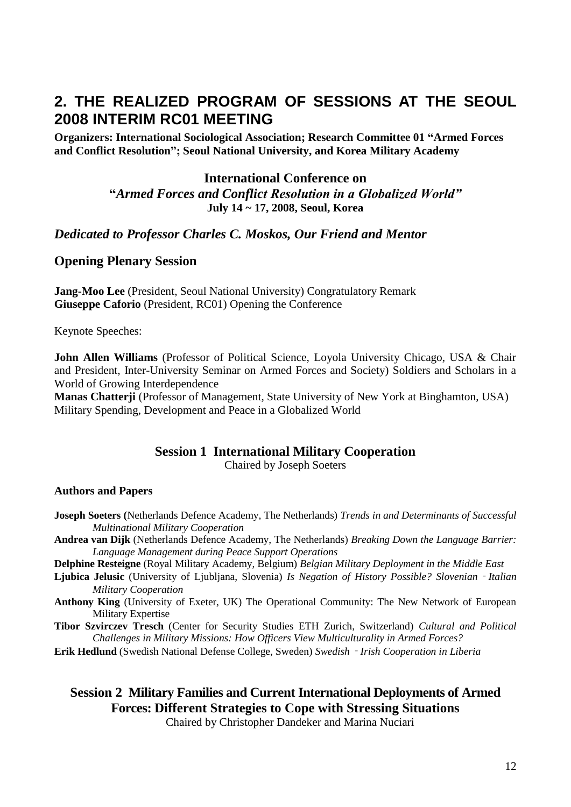## **2. THE REALIZED PROGRAM OF SESSIONS AT THE SEOUL 2008 INTERIM RC01 MEETING**

**Organizers: International Sociological Association; Research Committee 01 "Armed Forces and Conflict Resolution"; Seoul National University, and Korea Military Academy** 

### **International Conference on**

**"***Armed Forces and Conflict Resolution in a Globalized World"* **July 14 ~ 17, 2008, Seoul, Korea**

*Dedicated to Professor Charles C. Moskos, Our Friend and Mentor*

### **Opening Plenary Session**

**Jang-Moo Lee** (President, Seoul National University) Congratulatory Remark **Giuseppe Caforio** (President, RC01) Opening the Conference

Keynote Speeches:

**John Allen Williams** (Professor of Political Science, Loyola University Chicago, USA & Chair and President, Inter-University Seminar on Armed Forces and Society) Soldiers and Scholars in a World of Growing Interdependence

**Manas Chatterji** (Professor of Management, State University of New York at Binghamton, USA) Military Spending, Development and Peace in a Globalized World

## **Session 1 International Military Cooperation**

Chaired by Joseph Soeters

#### **Authors and Papers**

- **Joseph Soeters (**Netherlands Defence Academy, The Netherlands) *Trends in and Determinants of Successful Multinational Military Cooperation*
- **Andrea van Dijk** (Netherlands Defence Academy, The Netherlands) *Breaking Down the Language Barrier: Language Management during Peace Support Operations*
- **Delphine Resteigne** (Royal Military Academy, Belgium) *Belgian Military Deployment in the Middle East*
- **Ljubica Jelusic** (University of Ljubljana, Slovenia) *Is Negation of History Possible? Slovenian*‐*Italian Military Cooperation*
- **Anthony King** (University of Exeter, UK) The Operational Community: The New Network of European Military Expertise
- **Tibor Szvirczev Tresch** (Center for Security Studies ETH Zurich, Switzerland) *Cultural and Political Challenges in Military Missions: How Officers View Multiculturality in Armed Forces?*

**Erik Hedlund** (Swedish National Defense College, Sweden) *Swedish*‐*Irish Cooperation in Liberia*

## **Session 2 Military Families and Current International Deployments of Armed Forces: Different Strategies to Cope with Stressing Situations**

Chaired by Christopher Dandeker and Marina Nuciari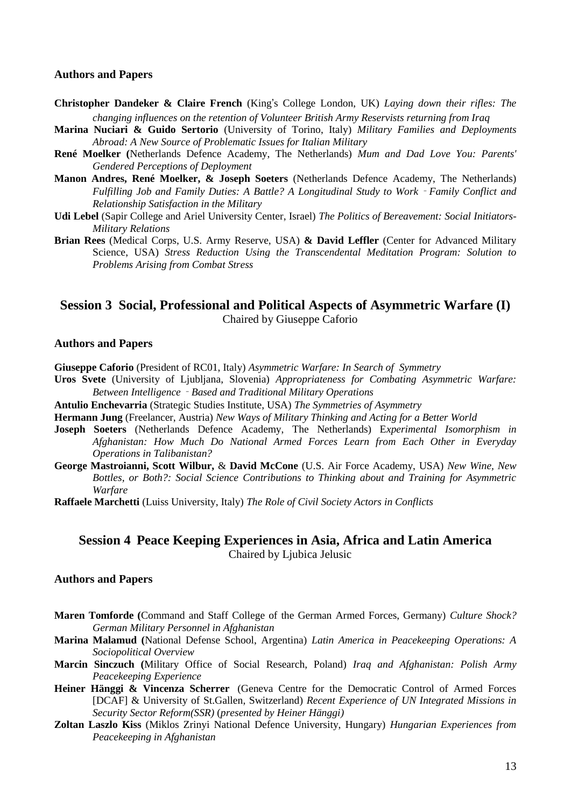#### **Authors and Papers**

- **Christopher Dandeker & Claire French** (King's College London, UK) *Laying down their rifles: The changing influences on the retention of Volunteer British Army Reservists returning from Iraq*
- **Marina Nuciari & Guido Sertorio** (University of Torino, Italy) *Military Families and Deployments Abroad: A New Source of Problematic Issues for Italian Military*
- **René Moelker (**Netherlands Defence Academy, The Netherlands) *Mum and Dad Love You: Parents' Gendered Perceptions of Deployment*
- **Manon Andres, René Moelker, & Joseph Soeters** (Netherlands Defence Academy, The Netherlands) *Fulfilling Job and Family Duties: A Battle? A Longitudinal Study to Work*‐*Family Conflict and Relationship Satisfaction in the Military*
- **Udi Lebel** (Sapir College and Ariel University Center, Israel) *The Politics of Bereavement: Social Initiators-Military Relations*
- **Brian Rees** (Medical Corps, U.S. Army Reserve, USA) **& David Leffler** (Center for Advanced Military Science, USA) *Stress Reduction Using the Transcendental Meditation Program: Solution to Problems Arising from Combat Stress*

### **Session 3 Social, Professional and Political Aspects of Asymmetric Warfare (I)** Chaired by Giuseppe Caforio

#### **Authors and Papers**

**Giuseppe Caforio** (President of RC01, Italy) *Asymmetric Warfare: In Search of Symmetry*

- **Uros Svete** (University of Ljubljana, Slovenia) *Appropriateness for Combating Asymmetric Warfare: Between Intelligence*‐*Based and Traditional Military Operations*
- **Antulio Enchevarria** (Strategic Studies Institute, USA) *The Symmetries of Asymmetry*
- **Hermann Jung** (Freelancer, Austria) *New Ways of Military Thinking and Acting for a Better World*
- **Joseph Soeters** (Netherlands Defence Academy, The Netherlands) E*xperimental Isomorphism in Afghanistan: How Much Do National Armed Forces Learn from Each Other in Everyday Operations in Talibanistan?*
- **George Mastroianni, Scott Wilbur,** & **David McCone** (U.S. Air Force Academy, USA) *New Wine, New Bottles, or Both?: Social Science Contributions to Thinking about and Training for Asymmetric Warfare*

**Raffaele Marchetti** (Luiss University, Italy) *The Role of Civil Society Actors in Conflicts*

## **Session 4 Peace Keeping Experiences in Asia, Africa and Latin America**  Chaired by Ljubica Jelusic

#### **Authors and Papers**

- **Maren Tomforde (**Command and Staff College of the German Armed Forces, Germany) *Culture Shock? German Military Personnel in Afghanistan*
- **Marina Malamud (**National Defense School, Argentina) *Latin America in Peacekeeping Operations: A Sociopolitical Overview*
- **Marcin Sinczuch (**Military Office of Social Research, Poland) *Iraq and Afghanistan: Polish Army Peacekeeping Experience*
- **Heiner Hänggi & Vincenza Scherrer** (Geneva Centre for the Democratic Control of Armed Forces [DCAF] & University of St.Gallen, Switzerland) *Recent Experience of UN Integrated Missions in Security Sector Reform(SSR)* (*presented by Heiner Hänggi)*
- **Zoltan Laszlo Kiss** (Miklos Zrinyi National Defence University, Hungary) *Hungarian Experiences from Peacekeeping in Afghanistan*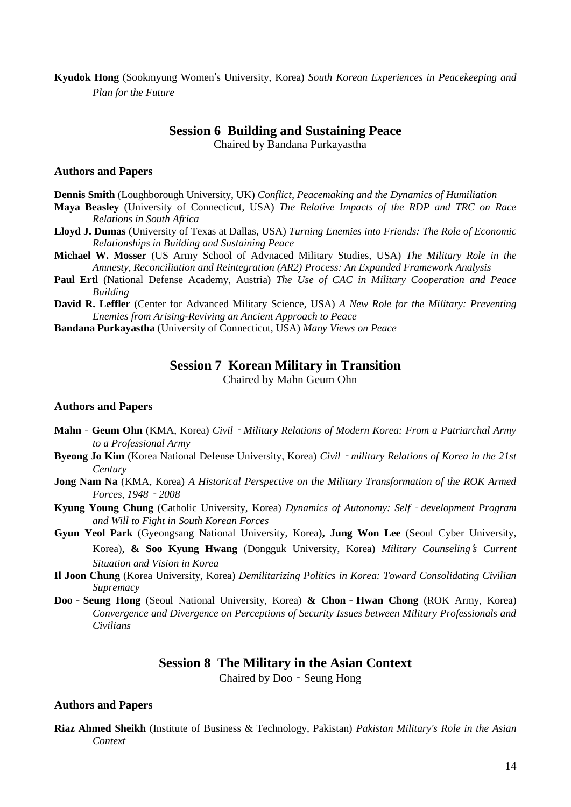**Kyudok Hong** (Sookmyung Women's University, Korea) *South Korean Experiences in Peacekeeping and Plan for the Future*

## **Session 6 Building and Sustaining Peace**

Chaired by Bandana Purkayastha

#### **Authors and Papers**

**Dennis Smith** (Loughborough University, UK) *Conflict, Peacemaking and the Dynamics of Humiliation* 

**Maya Beasley** (University of Connecticut, USA) *The Relative Impacts of the RDP and TRC on Race Relations in South Africa*

- **Lloyd J. Dumas** (University of Texas at Dallas, USA) *Turning Enemies into Friends: The Role of Economic Relationships in Building and Sustaining Peace*
- **Michael W. Mosser** (US Army School of Advnaced Military Studies, USA) *The Military Role in the Amnesty, Reconciliation and Reintegration (AR2) Process: An Expanded Framework Analysis*
- **Paul Ertl** (National Defense Academy, Austria) *The Use of CAC in Military Cooperation and Peace Building*
- **David R. Leffler** (Center for Advanced Military Science, USA) *A New Role for the Military: Preventing Enemies from Arising-Reviving an Ancient Approach to Peace*

**Bandana Purkayastha** (University of Connecticut, USA) *Many Views on Peace*

### **Session 7 Korean Military in Transition**

Chaired by Mahn Geum Ohn

#### **Authors and Papers**

- **Mahn**‐**Geum Ohn** (KMA, Korea) *Civil*‐*Military Relations of Modern Korea: From a Patriarchal Army to a Professional Army*
- **Byeong Jo Kim** (Korea National Defense University, Korea) *Civil*‐*military Relations of Korea in the 21st Century*
- **Jong Nam Na** (KMA, Korea) *A Historical Perspective on the Military Transformation of the ROK Armed Forces, 1948*‐*2008*
- **Kyung Young Chung** (Catholic University, Korea) *Dynamics of Autonomy: Self*‐*development Program and Will to Fight in South Korean Forces*

**Gyun Yeol Park** (Gyeongsang National University, Korea)**, Jung Won Lee** (Seoul Cyber University, Korea), **& Soo Kyung Hwang** (Dongguk University, Korea) *Military Counseling*'*s Current Situation and Vision in Korea*

- **Il Joon Chung** (Korea University, Korea) *Demilitarizing Politics in Korea: Toward Consolidating Civilian Supremacy*
- **Doo**‐**Seung Hong** (Seoul National University, Korea) **& Chon**‐**Hwan Chong** (ROK Army, Korea) *Convergence and Divergence on Perceptions of Security Issues between Military Professionals and Civilians*

## **Session 8 The Military in the Asian Context**

Chaired by Doo‐Seung Hong

#### **Authors and Papers**

**Riaz Ahmed Sheikh** (Institute of Business & Technology, Pakistan) *Pakistan Military's Role in the Asian Context*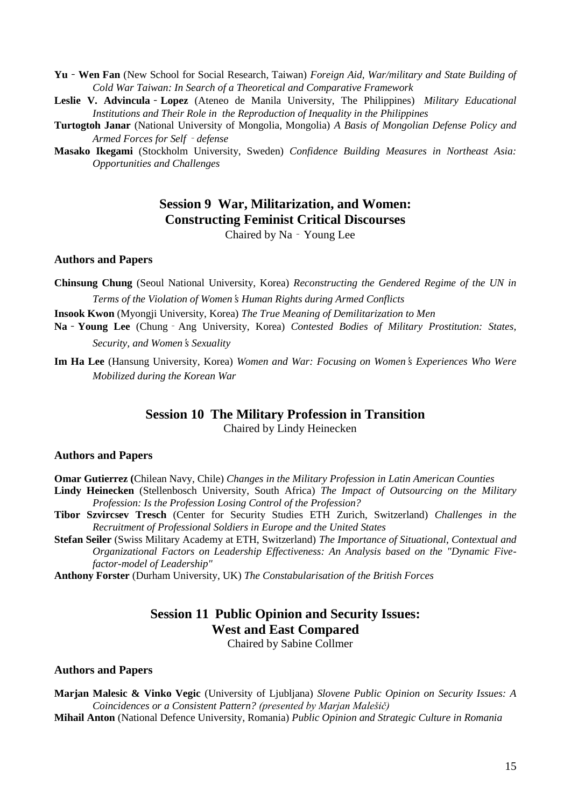**Yu**‐**Wen Fan** (New School for Social Research, Taiwan) *Foreign Aid, War/military and State Building of Cold War Taiwan: In Search of a Theoretical and Comparative Framework*

- **Leslie V. Advincula**‐**Lopez** (Ateneo de Manila University, The Philippines) *Military Educational Institutions and Their Role in the Reproduction of Inequality in the Philippines*
- **Turtogtoh Janar** (National University of Mongolia, Mongolia) *A Basis of Mongolian Defense Policy and Armed Forces for Self*‐*defense*
- **Masako Ikegami** (Stockholm University, Sweden) *Confidence Building Measures in Northeast Asia: Opportunities and Challenges*

## **Session 9 War, Militarization, and Women: Constructing Feminist Critical Discourses**

Chaired by Na‐Young Lee

#### **Authors and Papers**

- **Chinsung Chung** (Seoul National University, Korea) *Reconstructing the Gendered Regime of the UN in Terms of the Violation of Women*'*s Human Rights during Armed Conflicts*
- **Insook Kwon** (Myongji University, Korea) *The True Meaning of Demilitarization to Men*
- **Na**‐**Young Lee** (Chung‐Ang University, Korea) *Contested Bodies of Military Prostitution: States, Security, and Women*'*s Sexuality*
- **Im Ha Lee** (Hansung University, Korea) *Women and War: Focusing on Women*'*s Experiences Who Were Mobilized during the Korean War*

#### **Session 10 The Military Profession in Transition**

Chaired by Lindy Heinecken

#### **Authors and Papers**

**Omar Gutierrez (**Chilean Navy, Chile) *Changes in the Military Profession in Latin American Counties*

- **Lindy Heinecken** (Stellenbosch University, South Africa) *The Impact of Outsourcing on the Military Profession: Is the Profession Losing Control of the Profession?*
- **Tibor Szvircsev Tresch** (Center for Security Studies ETH Zurich, Switzerland) *Challenges in the Recruitment of Professional Soldiers in Europe and the United States*
- **Stefan Seiler** (Swiss Military Academy at ETH, Switzerland) *The Importance of Situational, Contextual and Organizational Factors on Leadership Effectiveness: An Analysis based on the "Dynamic Fivefactor-model of Leadership"*
- **Anthony Forster** (Durham University, UK) *The Constabularisation of the British Forces*

## **Session 11 Public Opinion and Security Issues: West and East Compared**

Chaired by Sabine Collmer

#### **Authors and Papers**

**Marjan Malesic & Vinko Vegic** (University of Ljubljana) *Slovene Public Opinion on Security Issues: A Coincidences or a Consistent Pattern? (presented by Marjan Malešič)*

**Mihail Anton** (National Defence University, Romania) *Public Opinion and Strategic Culture in Romania*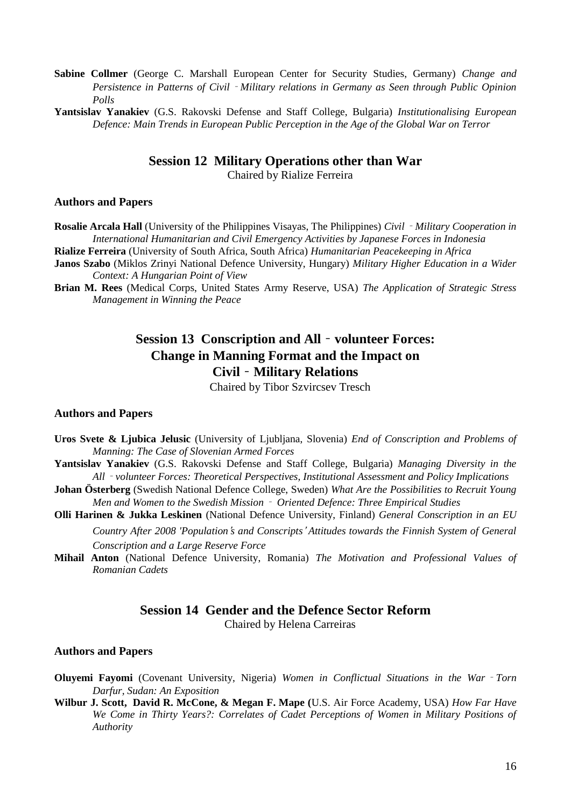- **Sabine Collmer** (George C. Marshall European Center for Security Studies, Germany) *Change and Persistence in Patterns of Civil*‐*Military relations in Germany as Seen through Public Opinion Polls*
- **Yantsislav Yanakiev** (G.S. Rakovski Defense and Staff College, Bulgaria) *Institutionalising European Defence: Main Trends in European Public Perception in the Age of the Global War on Terror*

**Session 12 Military Operations other than War**

Chaired by Rialize Ferreira

#### **Authors and Papers**

**Rosalie Arcala Hall** (University of the Philippines Visayas, The Philippines) *Civil*‐*Military Cooperation in International Humanitarian and Civil Emergency Activities by Japanese Forces in Indonesia* **Rialize Ferreira** (University of South Africa, South Africa) *Humanitarian Peacekeeping in Africa*

**Janos Szabo** (Miklos Zrinyi National Defence University, Hungary) *Military Higher Education in a Wider Context: A Hungarian Point of View*

**Brian M. Rees** (Medical Corps, United States Army Reserve, USA) *The Application of Strategic Stress Management in Winning the Peace*

## **Session 13 Conscription and All**‐**volunteer Forces: Change in Manning Format and the Impact on Civil**‐**Military Relations**

Chaired by Tibor Szvircsev Tresch

#### **Authors and Papers**

- **Uros Svete & Ljubica Jelusic** (University of Ljubljana, Slovenia) *End of Conscription and Problems of Manning: The Case of Slovenian Armed Forces*
- **Yantsislav Yanakiev** (G.S. Rakovski Defense and Staff College, Bulgaria) *Managing Diversity in the All*‐*volunteer Forces: Theoretical Perspectives, Institutional Assessment and Policy Implications*
- **Johan Österberg** (Swedish National Defence College, Sweden) *What Are the Possibilities to Recruit Young Men and Women to the Swedish Mission*‐ *Oriented Defence: Three Empirical Studies*
- **Olli Harinen & Jukka Leskinen** (National Defence University, Finland) *General Conscription in an EU Country After 2008 'Population*'*s and Conscripts*' *Attitudes towards the Finnish System of General Conscription and a Large Reserve Force*
- **Mihail Anton** (National Defence University, Romania) *The Motivation and Professional Values of Romanian Cadets*

## **Session 14 Gender and the Defence Sector Reform** Chaired by Helena Carreiras

#### **Authors and Papers**

- **Oluyemi Fayomi** (Covenant University, Nigeria) *Women in Conflictual Situations in the War*‐*Torn Darfur, Sudan: An Exposition*
- **Wilbur J. Scott, David R. McCone, & Megan F. Mape (**U.S. Air Force Academy, USA) *How Far Have We Come in Thirty Years?: Correlates of Cadet Perceptions of Women in Military Positions of Authority*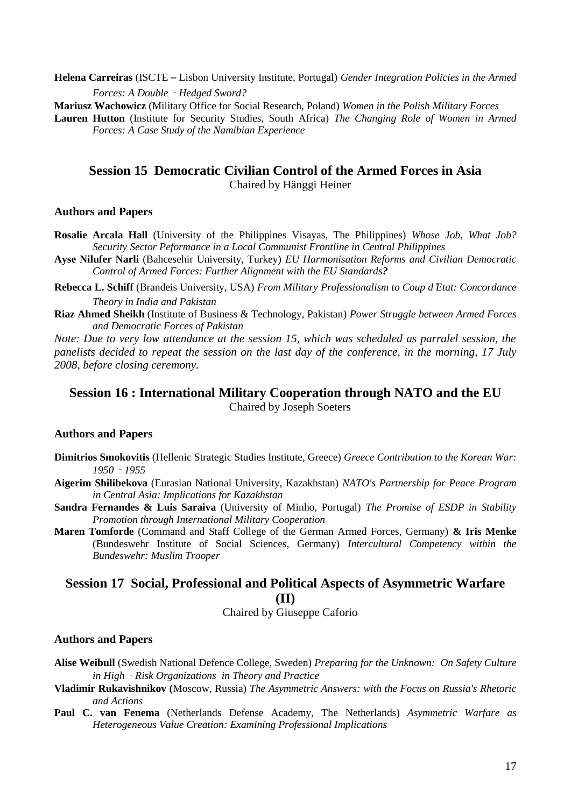**Helena Carreiras** (ISCTE – Lisbon University Institute, Portugal) *Gender Integration Policies in the Armed Forces: A Double*‐*Hedged Sword?* **Mariusz Wachowicz** (Military Office for Social Research, Poland) *Women in the Polish Military Forces* **Lauren Hutton** (Institute for Security Studies, South Africa) *The Changing Role of Women in Armed Forces: A Case Study of the Namibian Experience*

## **Session 15 Democratic Civilian Control of the Armed Forces in Asia** Chaired by Hänggi Heiner

#### **Authors and Papers**

**Rosalie Arcala Hall** (University of the Philippines Visayas, The Philippines) *Whose Job, What Job? Security Sector Peformance in a Local Communist Frontline in Central Philippines*

**Ayse Nilufer Narli** (Bahcesehir University, Turkey) *EU Harmonisation Reforms and Civilian Democratic Control of Armed Forces: Further Alignment with the EU Standards?*

- **Rebecca L. Schiff** (Brandeis University, USA) *From Military Professionalism to Coup d*'*Etat: Concordance Theory in India and Pakistan*
- **Riaz Ahmed Sheikh** (Institute of Business & Technology, Pakistan) *Power Struggle between Armed Forces and Democratic Forces of Pakistan*

*Note: Due to very low attendance at the session 15, which was scheduled as parralel session, the panelists decided to repeat the session on the last day of the conference, in the morning, 17 July 2008, before closing ceremony.* 

## **Session 16 : International Military Cooperation through NATO and the EU**

Chaired by Joseph Soeters

#### **Authors and Papers**

- **Dimitrios Smokovitis** (Hellenic Strategic Studies Institute, Greece) *Greece Contribution to the Korean War: 1950*‐*1955*
- **Aigerim Shilibekova** (Eurasian National University, Kazakhstan) *NATO's Partnership for Peace Program in Central Asia: Implications for Kazakhstan*
- **Sandra Fernandes & Luis Saraiva** (University of Minho, Portugal) *The Promise of ESDP in Stability Promotion through International Military Cooperation*
- **Maren Tomforde** (Command and Staff College of the German Armed Forces, Germany) **& Iris Menke**  (Bundeswehr Institute of Social Sciences, Germany) *Intercultural Competency within the Bundeswehr: Muslim Trooper*

## **Session 17 Social, Professional and Political Aspects of Asymmetric Warfare (II)**

Chaired by Giuseppe Caforio

#### **Authors and Papers**

- **Alise Weibull** (Swedish National Defence College, Sweden) *Preparing for the Unknown: On Safety Culture in High*‐*Risk Organizations in Theory and Practice*
- **Vladimir Rukavishnikov (**Moscow, Russia) *The Asymmetric Answers: with the Focus on Russia's Rhetoric and Actions*
- **Paul C. van Fenema** (Netherlands Defense Academy, The Netherlands) *Asymmetric Warfare as Heterogeneous Value Creation: Examining Professional Implications*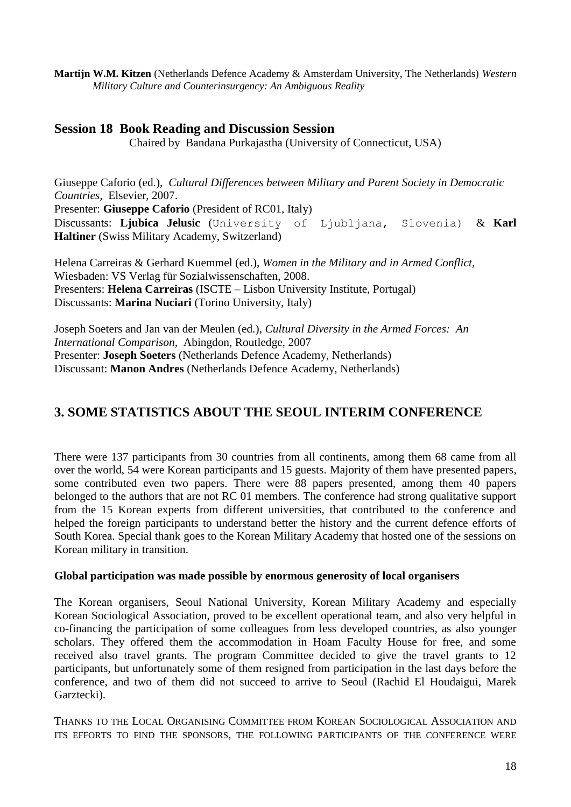**Martijn W.M. Kitzen** (Netherlands Defence Academy & Amsterdam University, The Netherlands) *Western Military Culture and Counterinsurgency: An Ambiguous Reality* 

## **Session 18 Book Reading and Discussion Session**

Chaired by Bandana Purkajastha (University of Connecticut, USA)

Giuseppe Caforio (ed.), *Cultural Differences between Military and Parent Society in Democratic Countries,* Elsevier, 2007. Presenter: **Giuseppe Caforio** (President of RC01, Italy) Discussants: **Ljubica Jelusic** (University of Ljubljana, Slovenia) & **Karl Haltiner** (Swiss Military Academy, Switzerland)

Helena Carreiras & Gerhard Kuemmel (ed.), *Women in the Military and in Armed Conflict,* Wiesbaden: VS Verlag für Sozialwissenschaften, 2008. Presenters: **Helena Carreiras** (ISCTE – Lisbon University Institute, Portugal) Discussants: **Marina Nuciari** (Torino University, Italy)

Joseph Soeters and Jan van der Meulen (ed.), *Cultural Diversity in the Armed Forces: An International Comparison,* Abingdon, Routledge, 2007 Presenter: **Joseph Soeters** (Netherlands Defence Academy, Netherlands) Discussant: **Manon Andres** (Netherlands Defence Academy, Netherlands)

## **3. SOME STATISTICS ABOUT THE SEOUL INTERIM CONFERENCE**

There were 137 participants from 30 countries from all continents, among them 68 came from all over the world, 54 were Korean participants and 15 guests. Majority of them have presented papers, some contributed even two papers. There were 88 papers presented, among them 40 papers belonged to the authors that are not RC 01 members. The conference had strong qualitative support from the 15 Korean experts from different universities, that contributed to the conference and helped the foreign participants to understand better the history and the current defence efforts of South Korea. Special thank goes to the Korean Military Academy that hosted one of the sessions on Korean military in transition.

#### **Global participation was made possible by enormous generosity of local organisers**

The Korean organisers, Seoul National University, Korean Military Academy and especially Korean Sociological Association, proved to be excellent operational team, and also very helpful in co-financing the participation of some colleagues from less developed countries, as also younger scholars. They offered them the accommodation in Hoam Faculty House for free, and some received also travel grants. The program Committee decided to give the travel grants to 12 participants, but unfortunately some of them resigned from participation in the last days before the conference, and two of them did not succeed to arrive to Seoul (Rachid El Houdaigui, Marek Garztecki).

THANKS TO THE LOCAL ORGANISING COMMITTEE FROM KOREAN SOCIOLOGICAL ASSOCIATION AND ITS EFFORTS TO FIND THE SPONSORS, THE FOLLOWING PARTICIPANTS OF THE CONFERENCE WERE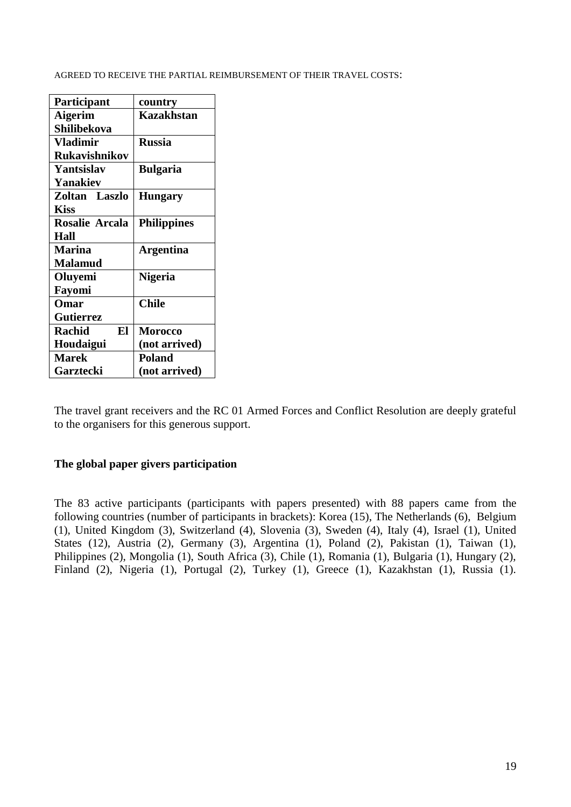AGREED TO RECEIVE THE PARTIAL REIMBURSEMENT OF THEIR TRAVEL COSTS:

| Participant         | country            |
|---------------------|--------------------|
| <b>Aigerim</b>      | <b>Kazakhstan</b>  |
| Shilibekova         |                    |
| <b>Vladimir</b>     | <b>Russia</b>      |
| Rukavishnikov       |                    |
| Yantsislav          | <b>Bulgaria</b>    |
| <b>Yanakiev</b>     |                    |
| Zoltan Laszlo       | <b>Hungary</b>     |
| <b>Kiss</b>         |                    |
| Rosalie Arcala      | <b>Philippines</b> |
| Hall                |                    |
| <b>Marina</b>       | <b>Argentina</b>   |
| <b>Malamud</b>      |                    |
| Oluyemi             | <b>Nigeria</b>     |
| Fayomi              |                    |
| Omar                | <b>Chile</b>       |
| <b>Gutierrez</b>    |                    |
| El<br><b>Rachid</b> | <b>Morocco</b>     |
| <b>Houdaigui</b>    | (not arrived)      |
| <b>Marek</b>        | <b>Poland</b>      |
| Garztecki           | (not arrived)      |

The travel grant receivers and the RC 01 Armed Forces and Conflict Resolution are deeply grateful to the organisers for this generous support.

## **The global paper givers participation**

The 83 active participants (participants with papers presented) with 88 papers came from the following countries (number of participants in brackets): Korea (15), The Netherlands (6), Belgium (1), United Kingdom (3), Switzerland (4), Slovenia (3), Sweden (4), Italy (4), Israel (1), United States (12), Austria (2), Germany (3), Argentina (1), Poland (2), Pakistan (1), Taiwan (1), Philippines (2), Mongolia (1), South Africa (3), Chile (1), Romania (1), Bulgaria (1), Hungary (2), Finland (2), Nigeria (1), Portugal (2), Turkey (1), Greece (1), Kazakhstan (1), Russia (1).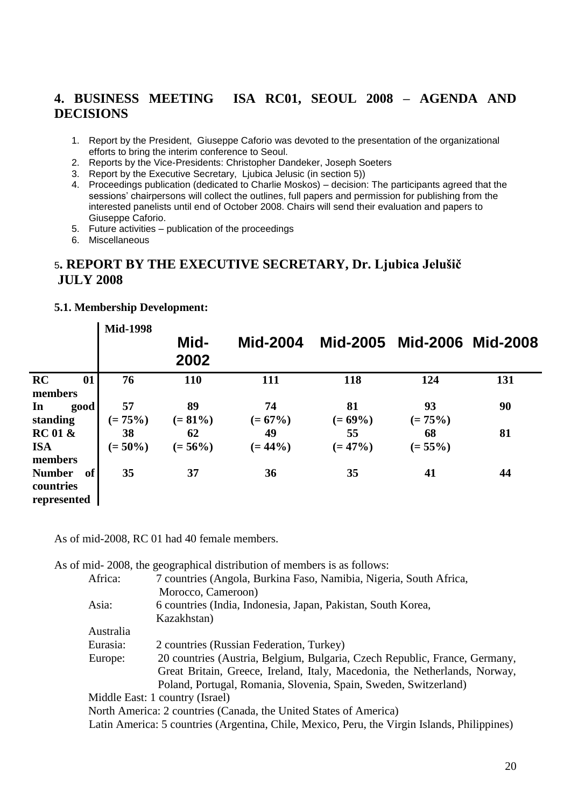## **4. BUSINESS MEETING ISA RC01, SEOUL 2008 – AGENDA AND DECISIONS**

- 1. Report by the President, Giuseppe Caforio was devoted to the presentation of the organizational efforts to bring the interim conference to Seoul.
- 2. Reports by the Vice-Presidents: Christopher Dandeker, Joseph Soeters
- 3. Report by the Executive Secretary, Ljubica Jelusic (in section 5))
- 4. Proceedings publication (dedicated to Charlie Moskos) decision: The participants agreed that the sessions' chairpersons will collect the outlines, full papers and permission for publishing from the interested panelists until end of October 2008. Chairs will send their evaluation and papers to Giuseppe Caforio.
- 5. Future activities publication of the proceedings
- 6. Miscellaneous

## 5**. REPORT BY THE EXECUTIVE SECRETARY, Dr. Ljubica Jelušič JULY 2008**

#### **5.1. Membership Development:**

|                                                 | <b>Mid-1998</b>  | Mid-<br>2002     | <b>Mid-2004</b>  | Mid-2005         | Mid-2006 Mid-2008 |     |
|-------------------------------------------------|------------------|------------------|------------------|------------------|-------------------|-----|
| RC<br>01<br>members                             | 76               | 110              | 111              | 118              | 124               | 131 |
| In<br>good<br>standing                          | 57<br>$(= 75\%)$ | 89<br>$(= 81\%)$ | 74<br>$(= 67\%)$ | 81<br>$(= 69\%)$ | 93<br>$(= 75\%)$  | 90  |
| $RC01$ &<br><b>ISA</b><br>members               | 38<br>$(= 50\%)$ | 62<br>$(= 56\%)$ | 49<br>$(= 44\%)$ | 55<br>$(= 47\%)$ | 68<br>$(= 55\%)$  | 81  |
| of<br><b>Number</b><br>countries<br>represented | 35               | 37               | 36               | 35               | 41                | 44  |

As of mid-2008, RC 01 had 40 female members.

As of mid- 2008, the geographical distribution of members is as follows:

| Africa:                                                                                      | 7 countries (Angola, Burkina Faso, Namibia, Nigeria, South Africa,         |  |
|----------------------------------------------------------------------------------------------|----------------------------------------------------------------------------|--|
|                                                                                              | Morocco, Cameroon)                                                         |  |
| Asia:                                                                                        | 6 countries (India, Indonesia, Japan, Pakistan, South Korea,               |  |
|                                                                                              | Kazakhstan)                                                                |  |
| Australia                                                                                    |                                                                            |  |
| Eurasia:                                                                                     | 2 countries (Russian Federation, Turkey)                                   |  |
| Europe:                                                                                      | 20 countries (Austria, Belgium, Bulgaria, Czech Republic, France, Germany, |  |
|                                                                                              | Great Britain, Greece, Ireland, Italy, Macedonia, the Netherlands, Norway, |  |
|                                                                                              | Poland, Portugal, Romania, Slovenia, Spain, Sweden, Switzerland)           |  |
|                                                                                              | Middle East: 1 country (Israel)                                            |  |
| North America: 2 countries (Canada, the United States of America)                            |                                                                            |  |
| Latin America: 5 countries (Argentina, Chile, Mexico, Peru, the Virgin Islands, Philippines) |                                                                            |  |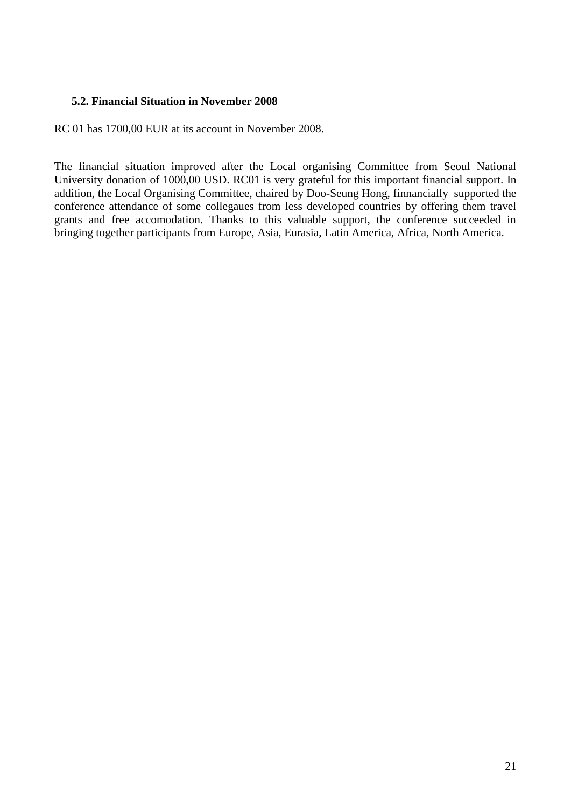## **5.2. Financial Situation in November 2008**

RC 01 has 1700,00 EUR at its account in November 2008.

The financial situation improved after the Local organising Committee from Seoul National University donation of 1000,00 USD. RC01 is very grateful for this important financial support. In addition, the Local Organising Committee, chaired by Doo-Seung Hong, finnancially supported the conference attendance of some collegaues from less developed countries by offering them travel grants and free accomodation. Thanks to this valuable support, the conference succeeded in bringing together participants from Europe, Asia, Eurasia, Latin America, Africa, North America.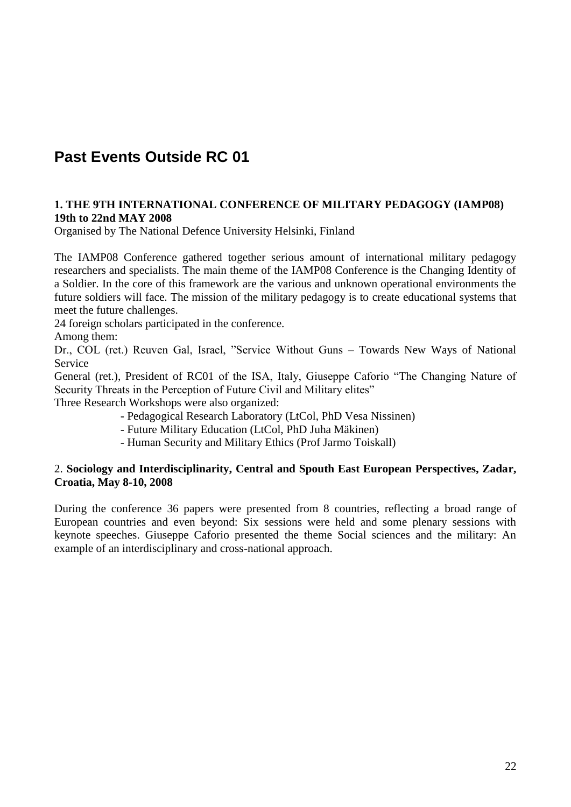## **Past Events Outside RC 01**

## **1. THE 9TH INTERNATIONAL CONFERENCE OF MILITARY PEDAGOGY (IAMP08) 19th to 22nd MAY 2008**

Organised by The National Defence University Helsinki, Finland

The IAMP08 Conference gathered together serious amount of international military pedagogy researchers and specialists. The main theme of the IAMP08 Conference is the Changing Identity of a Soldier. In the core of this framework are the various and unknown operational environments the future soldiers will face. The mission of the military pedagogy is to create educational systems that meet the future challenges.

24 foreign scholars participated in the conference.

Among them:

Dr., COL (ret.) Reuven Gal, Israel, "Service Without Guns – Towards New Ways of National Service

General (ret.), President of RC01 of the ISA, Italy, Giuseppe Caforio "The Changing Nature of Security Threats in the Perception of Future Civil and Military elites"

Three Research Workshops were also organized:

- Pedagogical Research Laboratory (LtCol, PhD Vesa Nissinen)

- Future Military Education (LtCol, PhD Juha Mäkinen)

- Human Security and Military Ethics (Prof Jarmo Toiskall)

## 2. **Sociology and Interdisciplinarity, Central and Spouth East European Perspectives, Zadar, Croatia, May 8-10, 2008**

During the conference 36 papers were presented from 8 countries, reflecting a broad range of European countries and even beyond: Six sessions were held and some plenary sessions with keynote speeches. Giuseppe Caforio presented the theme Social sciences and the military: An example of an interdisciplinary and cross-national approach.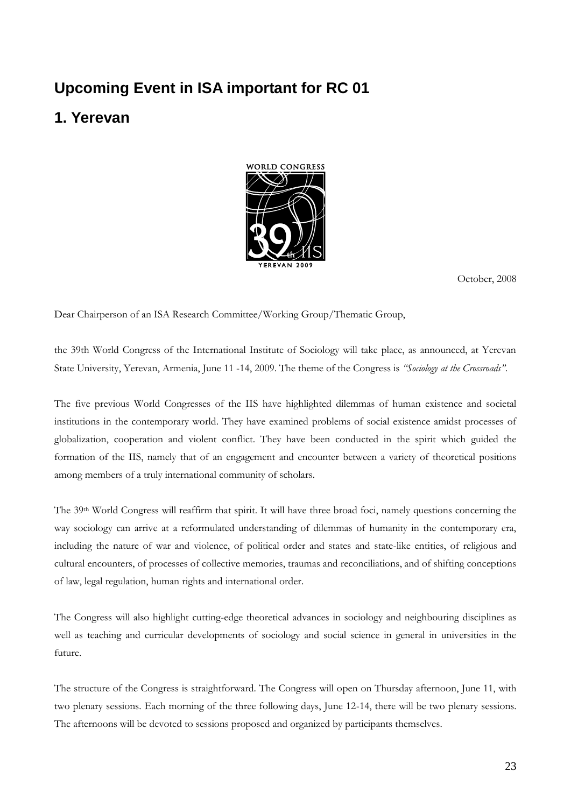## **Upcoming Event in ISA important for RC 01**

## **1. Yerevan**



October, 2008

Dear Chairperson of an ISA Research Committee/Working Group/Thematic Group,

the 39th World Congress of the International Institute of Sociology will take place, as announced, at Yerevan State University, Yerevan, Armenia, June 11 -14, 2009. The theme of the Congress is *"Sociology at the Crossroads"*.

The five previous World Congresses of the IIS have highlighted dilemmas of human existence and societal institutions in the contemporary world. They have examined problems of social existence amidst processes of globalization, cooperation and violent conflict. They have been conducted in the spirit which guided the formation of the IIS, namely that of an engagement and encounter between a variety of theoretical positions among members of a truly international community of scholars.

The 39<sup>th</sup> World Congress will reaffirm that spirit. It will have three broad foci, namely questions concerning the way sociology can arrive at a reformulated understanding of dilemmas of humanity in the contemporary era, including the nature of war and violence, of political order and states and state-like entities, of religious and cultural encounters, of processes of collective memories, traumas and reconciliations, and of shifting conceptions of law, legal regulation, human rights and international order.

The Congress will also highlight cutting-edge theoretical advances in sociology and neighbouring disciplines as well as teaching and curricular developments of sociology and social science in general in universities in the future.

The structure of the Congress is straightforward. The Congress will open on Thursday afternoon, June 11, with two plenary sessions. Each morning of the three following days, June 12-14, there will be two plenary sessions. The afternoons will be devoted to sessions proposed and organized by participants themselves.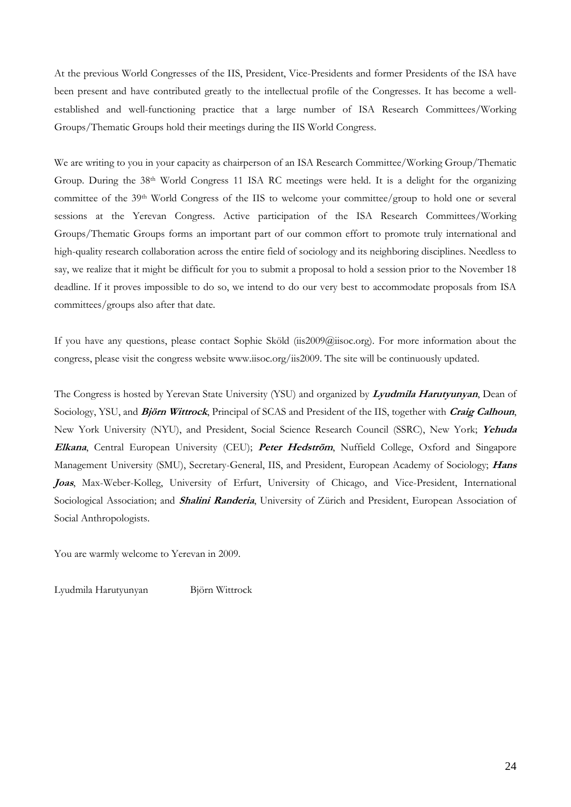At the previous World Congresses of the IIS, President, Vice-Presidents and former Presidents of the ISA have been present and have contributed greatly to the intellectual profile of the Congresses. It has become a wellestablished and well-functioning practice that a large number of ISA Research Committees/Working Groups/Thematic Groups hold their meetings during the IIS World Congress.

We are writing to you in your capacity as chairperson of an ISA Research Committee/Working Group/Thematic Group. During the 38<sup>th</sup> World Congress 11 ISA RC meetings were held. It is a delight for the organizing committee of the 39<sup>th</sup> World Congress of the IIS to welcome your committee/group to hold one or several sessions at the Yerevan Congress. Active participation of the ISA Research Committees/Working Groups/Thematic Groups forms an important part of our common effort to promote truly international and high-quality research collaboration across the entire field of sociology and its neighboring disciplines. Needless to say, we realize that it might be difficult for you to submit a proposal to hold a session prior to the November 18 deadline. If it proves impossible to do so, we intend to do our very best to accommodate proposals from ISA committees/groups also after that date.

If you have any questions, please contact Sophie Sköld (iis2009@iisoc.org). For more information about the congress, please visit the congress website www.iisoc.org/iis2009. The site will be continuously updated.

The Congress is hosted by Yerevan State University (YSU) and organized by **Lyudmila Harutyunyan**, Dean of Sociology, YSU, and **Björn Wittrock**, Principal of SCAS and President of the IIS, together with **Craig Calhoun**, New York University (NYU), and President, Social Science Research Council (SSRC), New York; **Yehuda Elkana**, Central European University (CEU); **Peter Hedström**, Nuffield College, Oxford and Singapore Management University (SMU), Secretary-General, IIS, and President, European Academy of Sociology; **Hans Joas**, Max-Weber-Kolleg, University of Erfurt, University of Chicago, and Vice-President, International Sociological Association; and **Shalini Randeria**, University of Zürich and President, European Association of Social Anthropologists.

You are warmly welcome to Yerevan in 2009.

Lyudmila Harutyunyan Björn Wittrock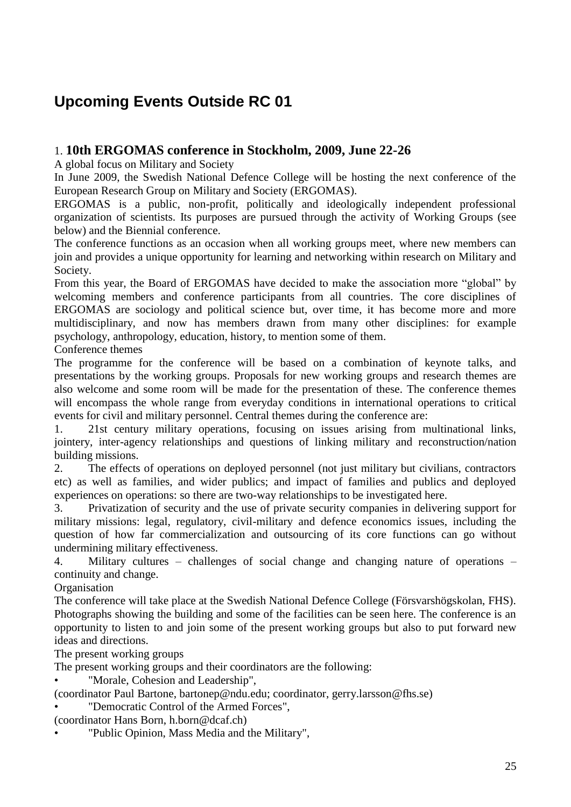## **Upcoming Events Outside RC 01**

## 1. **10th ERGOMAS conference in Stockholm, 2009, June 22-26**

A global focus on Military and Society

In June 2009, the Swedish National Defence College will be hosting the next conference of the European Research Group on Military and Society (ERGOMAS).

ERGOMAS is a public, non-profit, politically and ideologically independent professional organization of scientists. Its purposes are pursued through the activity of Working Groups (see below) and the Biennial conference.

The conference functions as an occasion when all working groups meet, where new members can join and provides a unique opportunity for learning and networking within research on Military and Society.

From this year, the Board of ERGOMAS have decided to make the association more "global" by welcoming members and conference participants from all countries. The core disciplines of ERGOMAS are sociology and political science but, over time, it has become more and more multidisciplinary, and now has members drawn from many other disciplines: for example psychology, anthropology, education, history, to mention some of them.

## Conference themes

The programme for the conference will be based on a combination of keynote talks, and presentations by the working groups. Proposals for new working groups and research themes are also welcome and some room will be made for the presentation of these. The conference themes will encompass the whole range from everyday conditions in international operations to critical events for civil and military personnel. Central themes during the conference are:

1. 21st century military operations, focusing on issues arising from multinational links, jointery, inter-agency relationships and questions of linking military and reconstruction/nation building missions.

2. The effects of operations on deployed personnel (not just military but civilians, contractors etc) as well as families, and wider publics; and impact of families and publics and deployed experiences on operations: so there are two-way relationships to be investigated here.

3. Privatization of security and the use of private security companies in delivering support for military missions: legal, regulatory, civil-military and defence economics issues, including the question of how far commercialization and outsourcing of its core functions can go without undermining military effectiveness.

4. Military cultures – challenges of social change and changing nature of operations – continuity and change.

## **Organisation**

The conference will take place at the Swedish National Defence College (Försvarshögskolan, FHS). Photographs showing the building and some of the facilities can be seen here. The conference is an opportunity to listen to and join some of the present working groups but also to put forward new ideas and directions.

The present working groups

The present working groups and their coordinators are the following:

"Morale, Cohesion and Leadership",

(coordinator Paul Bartone, bartonep@ndu.edu; coordinator, gerry.larsson@fhs.se)

• "Democratic Control of the Armed Forces",

- (coordinator Hans Born, h.born@dcaf.ch)
- "Public Opinion, Mass Media and the Military",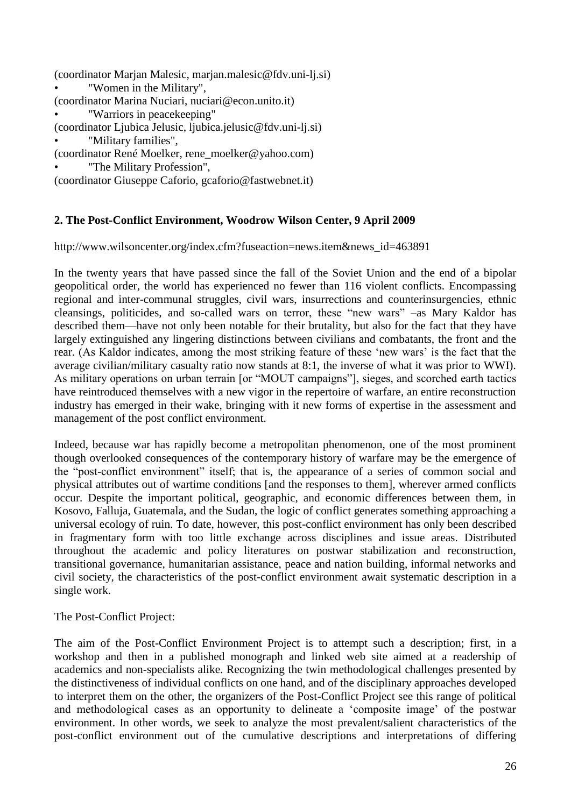(coordinator Marjan Malesic, marjan.malesic@fdv.uni-lj.si) "Women in the Military", (coordinator Marina Nuciari, nuciari@econ.unito.it) "Warriors in peacekeeping" (coordinator Ljubica Jelusic, ljubica.jelusic@fdv.uni-lj.si) "Military families", (coordinator René Moelker, rene\_moelker@yahoo.com) "The Military Profession",

(coordinator Giuseppe Caforio, gcaforio@fastwebnet.it)

## **2. The Post-Conflict Environment, Woodrow Wilson Center, 9 April 2009**

### http://www.wilsoncenter.org/index.cfm?fuseaction=news.item&news\_id=463891

In the twenty years that have passed since the fall of the Soviet Union and the end of a bipolar geopolitical order, the world has experienced no fewer than 116 violent conflicts. Encompassing regional and inter-communal struggles, civil wars, insurrections and counterinsurgencies, ethnic cleansings, politicides, and so-called wars on terror, these "new wars" –as Mary Kaldor has described them—have not only been notable for their brutality, but also for the fact that they have largely extinguished any lingering distinctions between civilians and combatants, the front and the rear. (As Kaldor indicates, among the most striking feature of these 'new wars' is the fact that the average civilian/military casualty ratio now stands at 8:1, the inverse of what it was prior to WWI). As military operations on urban terrain [or "MOUT campaigns"], sieges, and scorched earth tactics have reintroduced themselves with a new vigor in the repertoire of warfare, an entire reconstruction industry has emerged in their wake, bringing with it new forms of expertise in the assessment and management of the post conflict environment.

Indeed, because war has rapidly become a metropolitan phenomenon, one of the most prominent though overlooked consequences of the contemporary history of warfare may be the emergence of the "post-conflict environment" itself; that is, the appearance of a series of common social and physical attributes out of wartime conditions [and the responses to them], wherever armed conflicts occur. Despite the important political, geographic, and economic differences between them, in Kosovo, Falluja, Guatemala, and the Sudan, the logic of conflict generates something approaching a universal ecology of ruin. To date, however, this post-conflict environment has only been described in fragmentary form with too little exchange across disciplines and issue areas. Distributed throughout the academic and policy literatures on postwar stabilization and reconstruction, transitional governance, humanitarian assistance, peace and nation building, informal networks and civil society, the characteristics of the post-conflict environment await systematic description in a single work.

The Post-Conflict Project:

The aim of the Post-Conflict Environment Project is to attempt such a description; first, in a workshop and then in a published monograph and linked web site aimed at a readership of academics and non-specialists alike. Recognizing the twin methodological challenges presented by the distinctiveness of individual conflicts on one hand, and of the disciplinary approaches developed to interpret them on the other, the organizers of the Post-Conflict Project see this range of political and methodological cases as an opportunity to delineate a 'composite image' of the postwar environment. In other words, we seek to analyze the most prevalent/salient characteristics of the post-conflict environment out of the cumulative descriptions and interpretations of differing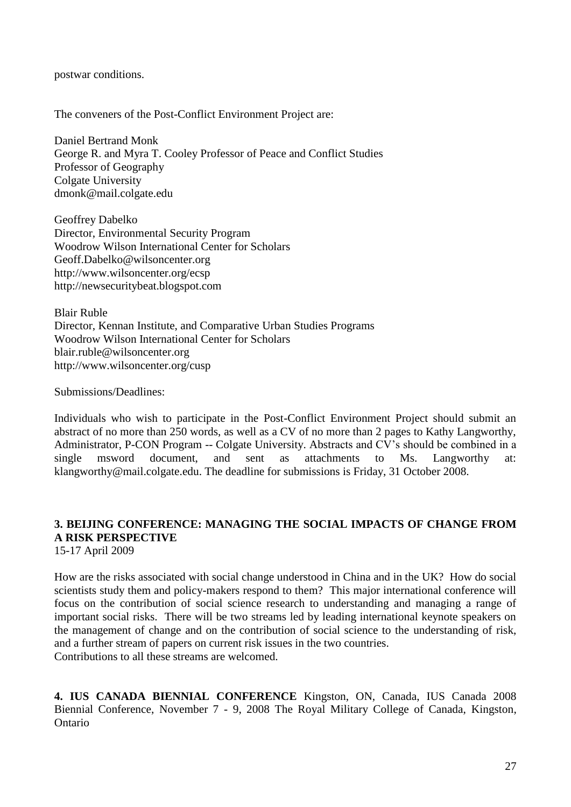postwar conditions.

The conveners of the Post-Conflict Environment Project are:

Daniel Bertrand Monk George R. and Myra T. Cooley Professor of Peace and Conflict Studies Professor of Geography Colgate University dmonk@mail.colgate.edu

Geoffrey Dabelko Director, Environmental Security Program Woodrow Wilson International Center for Scholars Geoff.Dabelko@wilsoncenter.org http://www.wilsoncenter.org/ecsp http://newsecuritybeat.blogspot.com

Blair Ruble Director, Kennan Institute, and Comparative Urban Studies Programs Woodrow Wilson International Center for Scholars blair.ruble@wilsoncenter.org http://www.wilsoncenter.org/cusp

Submissions/Deadlines:

Individuals who wish to participate in the Post-Conflict Environment Project should submit an abstract of no more than 250 words, as well as a CV of no more than 2 pages to Kathy Langworthy, Administrator, P-CON Program -- Colgate University. Abstracts and CV's should be combined in a single msword document, and sent as attachments to Ms. Langworthy at: klangworthy@mail.colgate.edu. The deadline for submissions is Friday, 31 October 2008.

## **3. BEIJING CONFERENCE: MANAGING THE SOCIAL IMPACTS OF CHANGE FROM A RISK PERSPECTIVE**

15-17 April 2009

How are the risks associated with social change understood in China and in the UK? How do social scientists study them and policy-makers respond to them? This major international conference will focus on the contribution of social science research to understanding and managing a range of important social risks. There will be two streams led by leading international keynote speakers on the management of change and on the contribution of social science to the understanding of risk, and a further stream of papers on current risk issues in the two countries. Contributions to all these streams are welcomed.

**4. IUS CANADA BIENNIAL CONFERENCE** Kingston, ON, Canada, IUS Canada 2008 Biennial Conference, November 7 - 9, 2008 The Royal Military College of Canada, Kingston, Ontario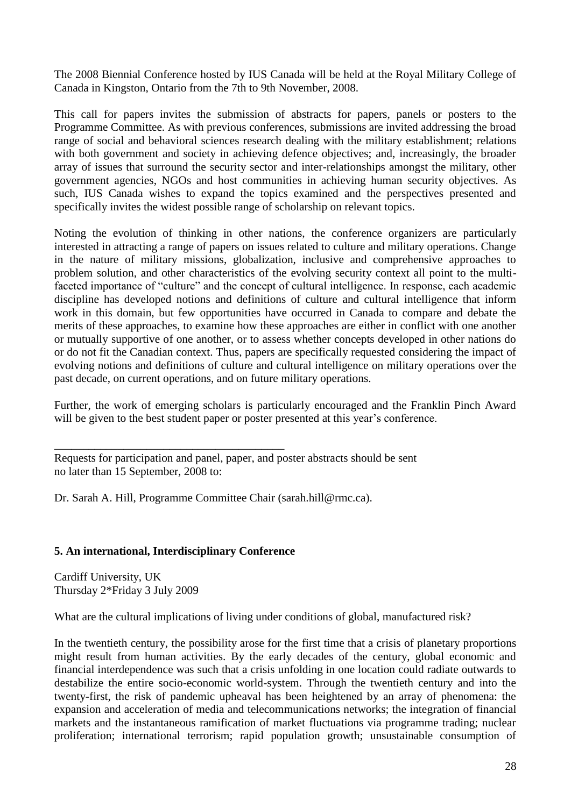The 2008 Biennial Conference hosted by IUS Canada will be held at the Royal Military College of Canada in Kingston, Ontario from the 7th to 9th November, 2008.

This call for papers invites the submission of abstracts for papers, panels or posters to the Programme Committee. As with previous conferences, submissions are invited addressing the broad range of social and behavioral sciences research dealing with the military establishment; relations with both government and society in achieving defence objectives; and, increasingly, the broader array of issues that surround the security sector and inter-relationships amongst the military, other government agencies, NGOs and host communities in achieving human security objectives. As such, IUS Canada wishes to expand the topics examined and the perspectives presented and specifically invites the widest possible range of scholarship on relevant topics.

Noting the evolution of thinking in other nations, the conference organizers are particularly interested in attracting a range of papers on issues related to culture and military operations. Change in the nature of military missions, globalization, inclusive and comprehensive approaches to problem solution, and other characteristics of the evolving security context all point to the multifaceted importance of "culture" and the concept of cultural intelligence. In response, each academic discipline has developed notions and definitions of culture and cultural intelligence that inform work in this domain, but few opportunities have occurred in Canada to compare and debate the merits of these approaches, to examine how these approaches are either in conflict with one another or mutually supportive of one another, or to assess whether concepts developed in other nations do or do not fit the Canadian context. Thus, papers are specifically requested considering the impact of evolving notions and definitions of culture and cultural intelligence on military operations over the past decade, on current operations, and on future military operations.

Further, the work of emerging scholars is particularly encouraged and the Franklin Pinch Award will be given to the best student paper or poster presented at this year's conference.

Dr. Sarah A. Hill, Programme Committee Chair (sarah.hill@rmc.ca).

## **5. An international, Interdisciplinary Conference**

\_\_\_\_\_\_\_\_\_\_\_\_\_\_\_\_\_\_\_\_\_\_\_\_\_\_\_\_\_\_\_\_\_\_\_\_\_\_\_\_

Cardiff University, UK Thursday 2\*Friday 3 July 2009

What are the cultural implications of living under conditions of global, manufactured risk?

In the twentieth century, the possibility arose for the first time that a crisis of planetary proportions might result from human activities. By the early decades of the century, global economic and financial interdependence was such that a crisis unfolding in one location could radiate outwards to destabilize the entire socio-economic world-system. Through the twentieth century and into the twenty-first, the risk of pandemic upheaval has been heightened by an array of phenomena: the expansion and acceleration of media and telecommunications networks; the integration of financial markets and the instantaneous ramification of market fluctuations via programme trading; nuclear proliferation; international terrorism; rapid population growth; unsustainable consumption of

Requests for participation and panel, paper, and poster abstracts should be sent no later than 15 September, 2008 to: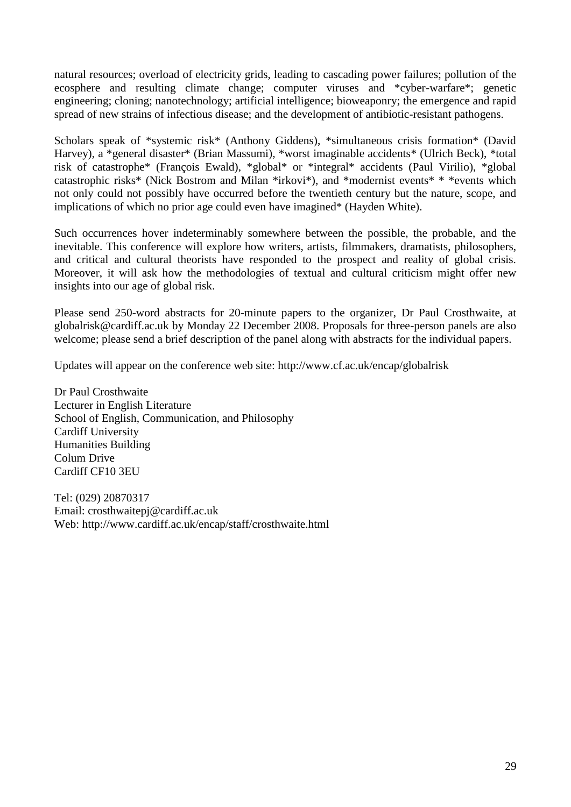natural resources; overload of electricity grids, leading to cascading power failures; pollution of the ecosphere and resulting climate change; computer viruses and \*cyber-warfare\*; genetic engineering; cloning; nanotechnology; artificial intelligence; bioweaponry; the emergence and rapid spread of new strains of infectious disease; and the development of antibiotic-resistant pathogens.

Scholars speak of \*systemic risk\* (Anthony Giddens), \*simultaneous crisis formation\* (David Harvey), a \*general disaster\* (Brian Massumi), \*worst imaginable accidents\* (Ulrich Beck), \*total risk of catastrophe\* (François Ewald), \*global\* or \*integral\* accidents (Paul Virilio), \*global catastrophic risks\* (Nick Bostrom and Milan \*irkovi\*), and \*modernist events\* \* \*events which not only could not possibly have occurred before the twentieth century but the nature, scope, and implications of which no prior age could even have imagined\* (Hayden White).

Such occurrences hover indeterminably somewhere between the possible, the probable, and the inevitable. This conference will explore how writers, artists, filmmakers, dramatists, philosophers, and critical and cultural theorists have responded to the prospect and reality of global crisis. Moreover, it will ask how the methodologies of textual and cultural criticism might offer new insights into our age of global risk.

Please send 250-word abstracts for 20-minute papers to the organizer, Dr Paul Crosthwaite, at globalrisk@cardiff.ac.uk by Monday 22 December 2008. Proposals for three-person panels are also welcome; please send a brief description of the panel along with abstracts for the individual papers.

Updates will appear on the conference web site: http://www.cf.ac.uk/encap/globalrisk

Dr Paul Crosthwaite Lecturer in English Literature School of English, Communication, and Philosophy Cardiff University Humanities Building Colum Drive Cardiff CF10 3EU

Tel: (029) 20870317 Email: crosthwaitepj@cardiff.ac.uk Web: http://www.cardiff.ac.uk/encap/staff/crosthwaite.html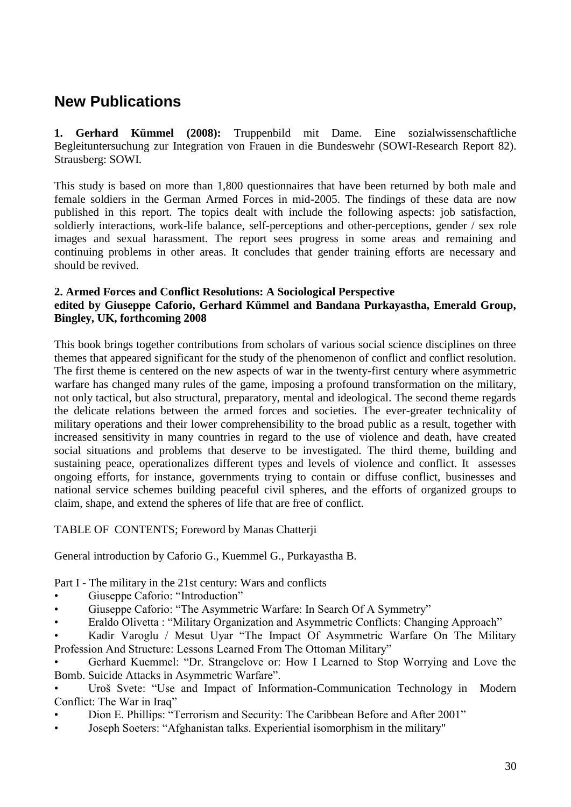## **New Publications**

**1. Gerhard Kümmel (2008):** Truppenbild mit Dame. Eine sozialwissenschaftliche Begleituntersuchung zur Integration von Frauen in die Bundeswehr (SOWI-Research Report 82). Strausberg: SOWI.

This study is based on more than 1,800 questionnaires that have been returned by both male and female soldiers in the German Armed Forces in mid-2005. The findings of these data are now published in this report. The topics dealt with include the following aspects: job satisfaction, soldierly interactions, work-life balance, self-perceptions and other-perceptions, gender / sex role images and sexual harassment. The report sees progress in some areas and remaining and continuing problems in other areas. It concludes that gender training efforts are necessary and should be revived.

### **2. Armed Forces and Conflict Resolutions: A Sociological Perspective edited by Giuseppe Caforio, Gerhard Kümmel and Bandana Purkayastha, Emerald Group, Bingley, UK, forthcoming 2008**

This book brings together contributions from scholars of various social science disciplines on three themes that appeared significant for the study of the phenomenon of conflict and conflict resolution. The first theme is centered on the new aspects of war in the twenty-first century where asymmetric warfare has changed many rules of the game, imposing a profound transformation on the military, not only tactical, but also structural, preparatory, mental and ideological. The second theme regards the delicate relations between the armed forces and societies. The ever-greater technicality of military operations and their lower comprehensibility to the broad public as a result, together with increased sensitivity in many countries in regard to the use of violence and death, have created social situations and problems that deserve to be investigated. The third theme, building and sustaining peace, operationalizes different types and levels of violence and conflict. It assesses ongoing efforts, for instance, governments trying to contain or diffuse conflict, businesses and national service schemes building peaceful civil spheres, and the efforts of organized groups to claim, shape, and extend the spheres of life that are free of conflict.

## TABLE OF CONTENTS; Foreword by Manas Chatterji

General introduction by Caforio G., Kuemmel G., Purkayastha B.

Part I - The military in the 21st century: Wars and conflicts

- Giuseppe Caforio: "Introduction"
- Giuseppe Caforio: "The Asymmetric Warfare: In Search Of A Symmetry"
- Eraldo Olivetta : "Military Organization and Asymmetric Conflicts: Changing Approach"

Kadir Varoglu / Mesut Uyar "The Impact Of Asymmetric Warfare On The Military Profession And Structure: Lessons Learned From The Ottoman Military"

Gerhard Kuemmel: "Dr. Strangelove or: How I Learned to Stop Worrying and Love the Bomb. Suicide Attacks in Asymmetric Warfare".

Uroš Svete: "Use and Impact of Information-Communication Technology in Modern Conflict: The War in Iraq"

- Dion E. Phillips: "Terrorism and Security: The Caribbean Before and After 2001"
- Joseph Soeters: "Afghanistan talks. Experiential isomorphism in the military"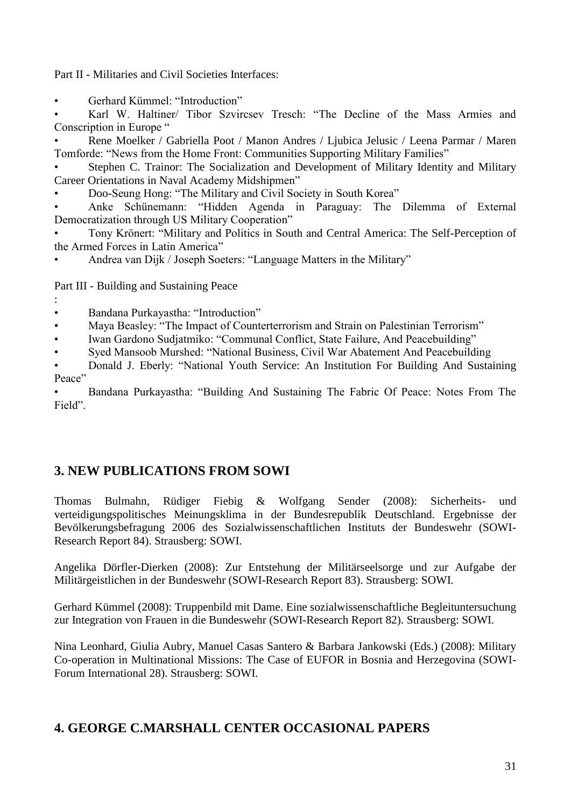Part II - Militaries and Civil Societies Interfaces:

Gerhard Kümmel: "Introduction"

Karl W. Haltiner/ Tibor Szvircsev Tresch: "The Decline of the Mass Armies and Conscription in Europe "

• Rene Moelker / Gabriella Poot / Manon Andres / Ljubica Jelusic / Leena Parmar / Maren Tomforde: "News from the Home Front: Communities Supporting Military Families"

• Stephen C. Trainor: The Socialization and Development of Military Identity and Military Career Orientations in Naval Academy Midshipmen"

Doo-Seung Hong: "The Military and Civil Society in South Korea"

Anke Schünemann: "Hidden Agenda in Paraguay: The Dilemma of External Democratization through US Military Cooperation"

Tony Krönert: "Military and Politics in South and Central America: The Self-Perception of the Armed Forces in Latin America"

Andrea van Dijk / Joseph Soeters: "Language Matters in the Military"

Part III - Building and Sustaining Peace

:

Bandana Purkayastha: "Introduction"

- Maya Beasley: "The Impact of Counterterrorism and Strain on Palestinian Terrorism"
- Iwan Gardono Sudjatmiko: "Communal Conflict, State Failure, And Peacebuilding"
- Syed Mansoob Murshed: "National Business, Civil War Abatement And Peacebuilding
- Donald J. Eberly: "National Youth Service: An Institution For Building And Sustaining Peace"

Bandana Purkayastha: "Building And Sustaining The Fabric Of Peace: Notes From The Field"

## **3. NEW PUBLICATIONS FROM SOWI**

Thomas Bulmahn, Rüdiger Fiebig & Wolfgang Sender (2008): Sicherheits- und verteidigungspolitisches Meinungsklima in der Bundesrepublik Deutschland. Ergebnisse der Bevölkerungsbefragung 2006 des Sozialwissenschaftlichen Instituts der Bundeswehr (SOWI-Research Report 84). Strausberg: SOWI.

Angelika Dörfler-Dierken (2008): Zur Entstehung der Militärseelsorge und zur Aufgabe der Militärgeistlichen in der Bundeswehr (SOWI-Research Report 83). Strausberg: SOWI.

Gerhard Kümmel (2008): Truppenbild mit Dame. Eine sozialwissenschaftliche Begleituntersuchung zur Integration von Frauen in die Bundeswehr (SOWI-Research Report 82). Strausberg: SOWI.

Nina Leonhard, Giulia Aubry, Manuel Casas Santero & Barbara Jankowski (Eds.) (2008): Military Co-operation in Multinational Missions: The Case of EUFOR in Bosnia and Herzegovina (SOWI-Forum International 28). Strausberg: SOWI.

## **4. GEORGE C.MARSHALL CENTER OCCASIONAL PAPERS**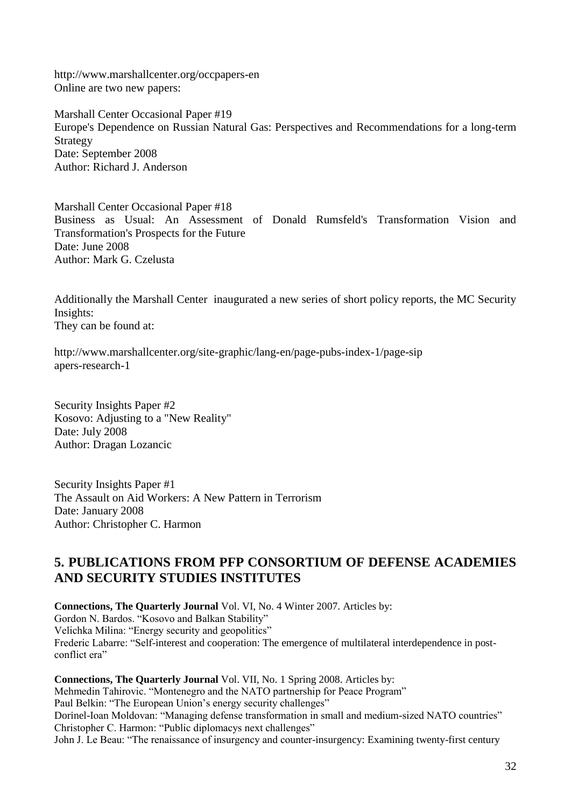http://www.marshallcenter.org/occpapers-en Online are two new papers:

Marshall Center Occasional Paper #19 Europe's Dependence on Russian Natural Gas: Perspectives and Recommendations for a long-term Strategy Date: September 2008 Author: Richard J. Anderson

Marshall Center Occasional Paper #18 Business as Usual: An Assessment of Donald Rumsfeld's Transformation Vision and Transformation's Prospects for the Future Date: June 2008 Author: Mark G. Czelusta

Additionally the Marshall Center inaugurated a new series of short policy reports, the MC Security Insights: They can be found at:

http://www.marshallcenter.org/site-graphic/lang-en/page-pubs-index-1/page-sip apers-research-1

Security Insights Paper #2 Kosovo: Adjusting to a "New Reality" Date: July 2008 Author: Dragan Lozancic

Security Insights Paper #1 The Assault on Aid Workers: A New Pattern in Terrorism Date: January 2008 Author: Christopher C. Harmon

## **5. PUBLICATIONS FROM PFP CONSORTIUM OF DEFENSE ACADEMIES AND SECURITY STUDIES INSTITUTES**

**Connections, The Quarterly Journal** Vol. VI, No. 4 Winter 2007. Articles by: Gordon N. Bardos. "Kosovo and Balkan Stability" Velichka Milina: "Energy security and geopolitics" Frederic Labarre: "Self-interest and cooperation: The emergence of multilateral interdependence in postconflict era"

**Connections, The Quarterly Journal** Vol. VII, No. 1 Spring 2008. Articles by: Mehmedin Tahirovic. "Montenegro and the NATO partnership for Peace Program" Paul Belkin: "The European Union's energy security challenges" Dorinel-Ioan Moldovan: "Managing defense transformation in small and medium-sized NATO countries" Christopher C. Harmon: "Public diplomacys next challenges" John J. Le Beau: "The renaissance of insurgency and counter-insurgency: Examining twenty-first century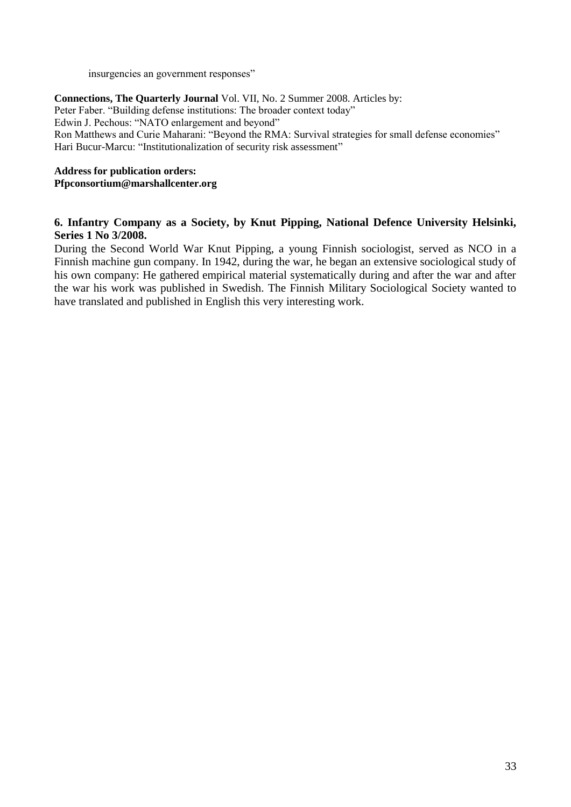insurgencies an government responses"

**Connections, The Quarterly Journal** Vol. VII, No. 2 Summer 2008. Articles by: Peter Faber. "Building defense institutions: The broader context today" Edwin J. Pechous: "NATO enlargement and beyond" Ron Matthews and Curie Maharani: "Beyond the RMA: Survival strategies for small defense economies" Hari Bucur-Marcu: "Institutionalization of security risk assessment"

#### **Address for publication orders: Pfpconsortium@marshallcenter.org**

### **6. Infantry Company as a Society, by Knut Pipping, National Defence University Helsinki, Series 1 No 3/2008.**

During the Second World War Knut Pipping, a young Finnish sociologist, served as NCO in a Finnish machine gun company. In 1942, during the war, he began an extensive sociological study of his own company: He gathered empirical material systematically during and after the war and after the war his work was published in Swedish. The Finnish Military Sociological Society wanted to have translated and published in English this very interesting work.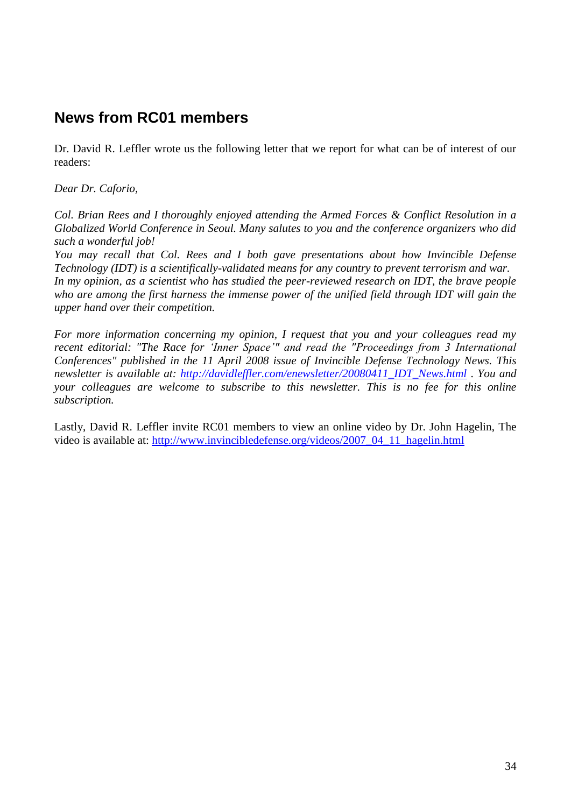## **News from RC01 members**

Dr. David R. Leffler wrote us the following letter that we report for what can be of interest of our readers:

*Dear Dr. Caforio,*

*Col. Brian Rees and I thoroughly enjoyed attending the Armed Forces & Conflict Resolution in a Globalized World Conference in Seoul. Many salutes to you and the conference organizers who did such a wonderful job!* 

*You may recall that Col. Rees and I both gave presentations about how Invincible Defense Technology (IDT) is a scientifically-validated means for any country to prevent terrorism and war. In my opinion, as a scientist who has studied the peer-reviewed research on IDT, the brave people who are among the first harness the immense power of the unified field through IDT will gain the upper hand over their competition.*

*For more information concerning my opinion, I request that you and your colleagues read my recent editorial: "The Race for 'Inner Space'" and read the "Proceedings from 3 International Conferences" published in the 11 April 2008 issue of Invincible Defense Technology News. This newsletter is available at: [http://davidleffler.com/enewsletter/20080411\\_IDT\\_News.html](http://davidleffler.com/enewsletter/20080411_IDT_News.html) . You and your colleagues are welcome to subscribe to this newsletter. This is no fee for this online subscription.*

Lastly, David R. Leffler invite RC01 members to view an online video by Dr. John Hagelin, The video is available at: [http://www.invincibledefense.org/videos/2007\\_04\\_11\\_hagelin.html](http://www.invincibledefense.org/videos/2007_04_11_hagelin.html)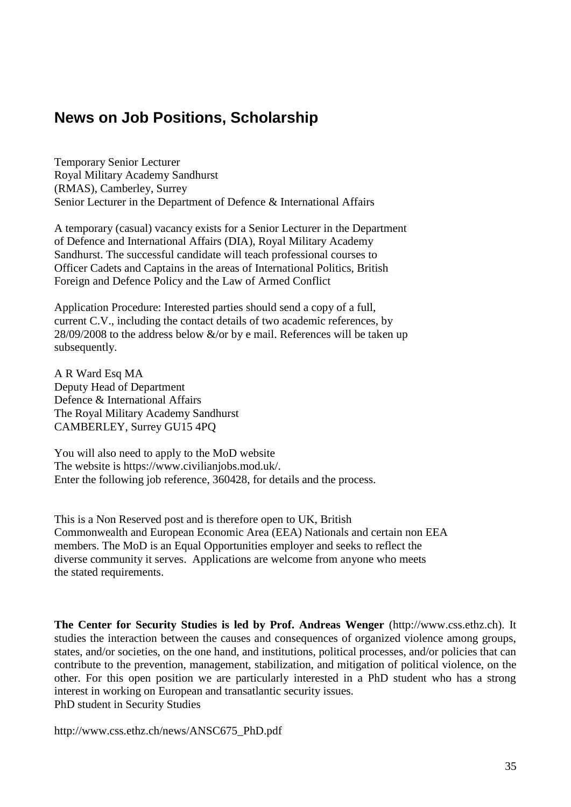## **News on Job Positions, Scholarship**

Temporary Senior Lecturer Royal Military Academy Sandhurst (RMAS), Camberley, Surrey Senior Lecturer in the Department of Defence & International Affairs

A temporary (casual) vacancy exists for a Senior Lecturer in the Department of Defence and International Affairs (DIA), Royal Military Academy Sandhurst. The successful candidate will teach professional courses to Officer Cadets and Captains in the areas of International Politics, British Foreign and Defence Policy and the Law of Armed Conflict

Application Procedure: Interested parties should send a copy of a full, current C.V., including the contact details of two academic references, by  $28/09/2008$  to the address below  $\&$ /or by e mail. References will be taken up subsequently.

A R Ward Esq MA Deputy Head of Department Defence & International Affairs The Royal Military Academy Sandhurst CAMBERLEY, Surrey GU15 4PQ

You will also need to apply to the MoD website The website is https://www.civilianjobs.mod.uk/. Enter the following job reference, 360428, for details and the process.

This is a Non Reserved post and is therefore open to UK, British Commonwealth and European Economic Area (EEA) Nationals and certain non EEA members. The MoD is an Equal Opportunities employer and seeks to reflect the diverse community it serves. Applications are welcome from anyone who meets the stated requirements.

**The Center for Security Studies is led by Prof. Andreas Wenger** (http://www.css.ethz.ch). It studies the interaction between the causes and consequences of organized violence among groups, states, and/or societies, on the one hand, and institutions, political processes, and/or policies that can contribute to the prevention, management, stabilization, and mitigation of political violence, on the other. For this open position we are particularly interested in a PhD student who has a strong interest in working on European and transatlantic security issues. PhD student in Security Studies

http://www.css.ethz.ch/news/ANSC675\_PhD.pdf